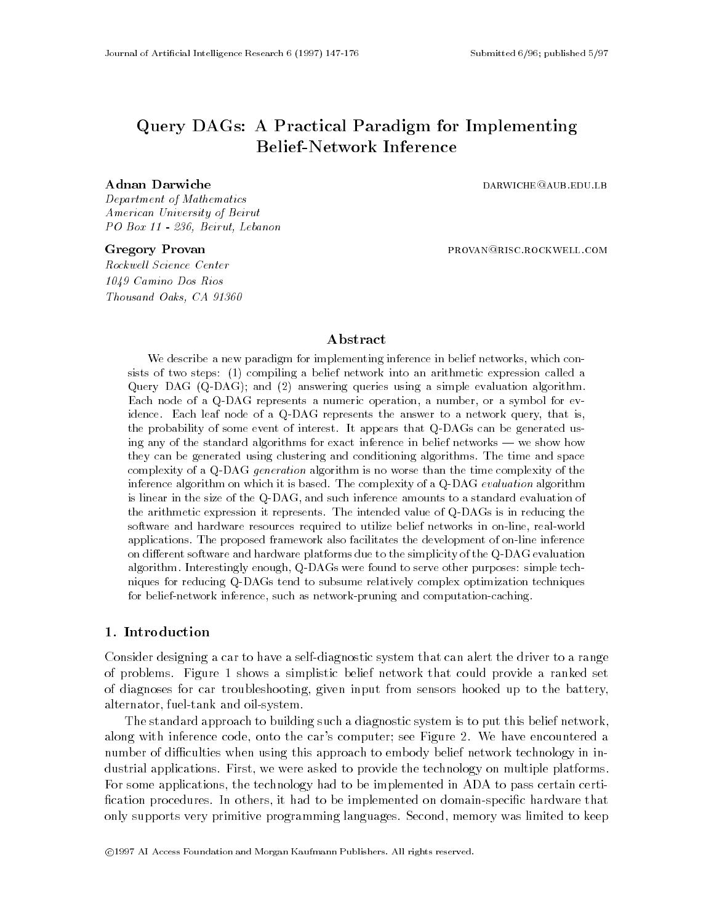# Query DAGs: A Practical Paradigm for Implementing **Belief-Network Inference**

Department of Mathematics American University of Beirut PO Box 11 - 236, Beirut, Lebanon

Rockwell Science Center 1049 Camino Dos Rios Thousand Oaks, CA 91360

Gregory Provan **provan provan provan provan** provan provan provan provan provan provan provan provan provan prov

## Abstract

We describe a new paradigm for implementing inference in belief networks, which consists of two steps: (1) compiling a belief network into an arithmetic expression called a Query DAG (Q-DAG); and (2) answering queries using a simple evaluation algorithm. Each node of a Q-DAG represents a numeric operation, a number, or a symbol for evidence. Each leaf node of a Q-DAG represents the answer to a network query, that is, the probability of some event of interest. It appears that Q-DAGs can be generated using any of the standard algorithms for exact inference in belief networks — we show how they can be generated using clustering and conditioning algorithms. The time and space complexity of a Q-DAG *generation* algorithm is no worse than the time complexity of the inference algorithm on which it is based. The complexity of a Q-DAG evaluation algorithm is linear in the size of the Q-DAG, and such inference amounts to a standard evaluation of the arithmetic expression it represents. The intended value of Q-DAGs is in reducing the software and hardware resources required to utilize belief networks in on-line, real-world applications. The proposed framework also facilitates the development of on-line inference on different software and hardware platforms due to the simplicity of the Q-DAG evaluation algorithm. Interestingly enough, Q-DAGs were found to serve other purposes: simple techniques for reducing Q-DAGs tend to subsume relatively complex optimization techniques for belief-network inference, such as network-pruning and computation-caching.

## 1. Introduction

Consider designing a car to have a self-diagnostic system that can alert the driver to a range of problems. Figure 1 shows a simplistic belief network that could provide a ranked set of diagnoses for car troubleshooting, given input from sensors hooked up to the battery, alternator, fuel-tank and oil-system.

The standard approach to building such a diagnostic system is to put this belief network, along with inference code, onto the car's computer; see Figure 2. We have encountered a number of difficulties when using this approach to embody belief network technology in industrial applications. First, we were asked to provide the technology on multiple platforms. For some applications, the technology had to be implemented in ADA to pass certain certi fication procedures. In others, it had to be implemented on domain-specific hardware that only supports very primitive programming languages. Second, memory was limited to keep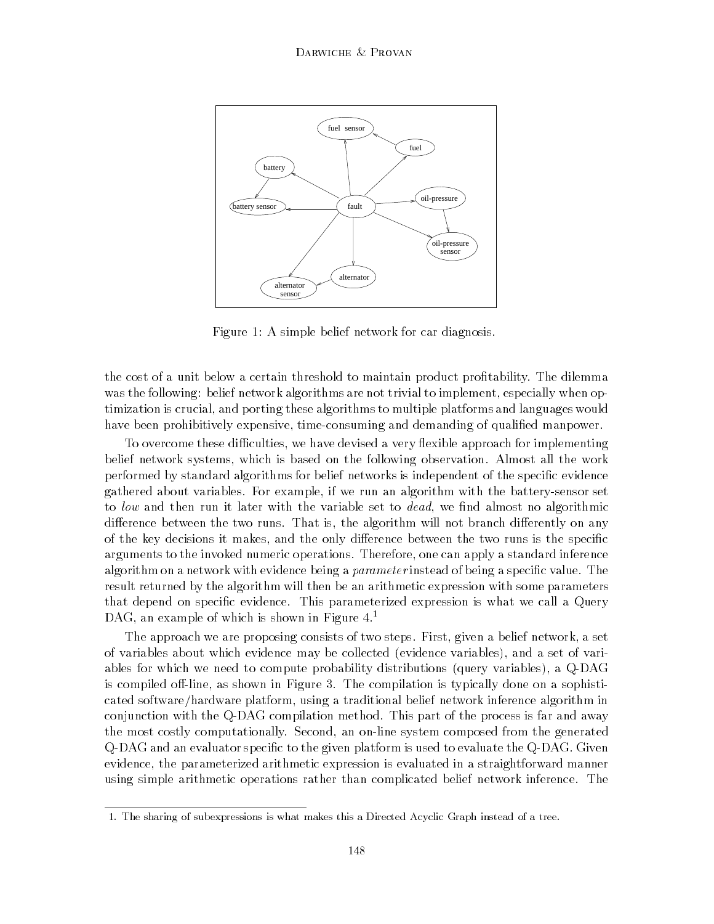

Figure 1: A simple belief network for car diagnosis.

the cost of a unit below a certain threshold to maintain product protability. The dilemma was the following: belief network algorithms are not trivial to implement, especially when optimization is crucial, and porting these algorithms to multiple platforms and languages would have been prohibitively expensive, time-consuming and demanding of qualified manpower.

To overcome these difficulties, we have devised a very flexible approach for implementing belief network systems, which is based on the following observation. Almost all the work performed by standard algorithms for belief networks is independent of the specific evidence gathered about variables. For example, if we run an algorithm with the battery-sensor set to low and then run it later with the variable set to *dead*, we find almost no algorithmic difference between the two runs. That is, the algorithm will not branch differently on any of the key decisions it makes, and the only difference between the two runs is the specific arguments to the invoked numeric operations. Therefore, one can apply a standard inference algorithm on a network with evidence being a *parameter* instead of being a specific value. The result returned by the algorithm will then be an arithmetic expression with some parameters that depend on specific evidence. This parameterized expression is what we call a Query DAG, an example of which is shown in Figure 4.<sup>1</sup>

The approach we are proposing consists of two steps. First, given a belief network, a set of variables about which evidence may be collected (evidence variables), and a set of variables for which we need to compute probability distributions (query variables), a Q-DAG is compiled off-line, as shown in Figure 3. The compilation is typically done on a sophisticated software/hardware platform, using a traditional belief network inference algorithm in conjunction with the Q-DAG compilation method. This part of the process is far and away the most costly computationally. Second, an on-line system composed from the generated Q-DAG and an evaluator specific to the given platform is used to evaluate the Q-DAG. Given evidence, the parameterized arithmetic expression is evaluated in a straightforward manner using simple arithmetic operations rather than complicated belief network inference. The

<sup>1.</sup> The sharing of subexpressions is what makes this a Directed Acyclic Graph instead of a tree.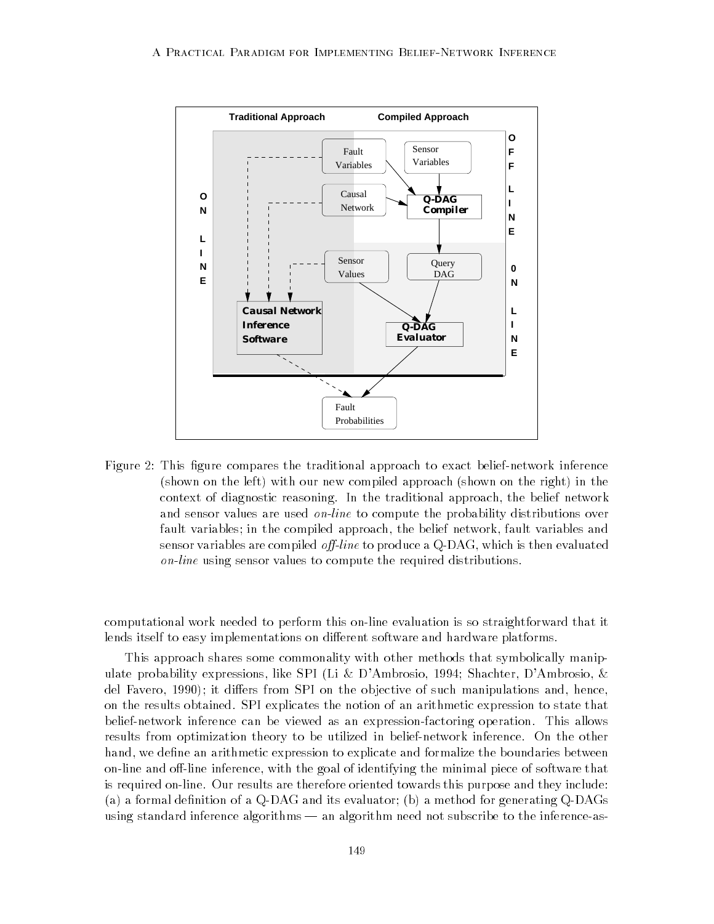

Figure 2: This figure compares the traditional approach to exact belief-network inference (shown on the left) with our new compiled approach (shown on the right) in the context of diagnostic reasoning. In the traditional approach, the belief network and sensor values are used *on-line* to compute the probability distributions over fault variables; in the compiled approach, the belief network, fault variables and sensor variables are compiled *off-line* to produce a  $Q$ -DAG, which is then evaluated on-line using sensor values to compute the required distributions.

computational work needed to perform this on-line evaluation is so straightforward that it lends itself to easy implementations on different software and hardware platforms.

This approach shares some commonality with other methods that symbolically manipulate probability expressions, like SPI (Li & D'Ambrosio, 1994; Shachter, D'Ambrosio, & del Favero, 1990); it differs from SPI on the objective of such manipulations and, hence, on the results obtained. SPI explicates the notion of an arithmetic expression to state that belief-network inference can be viewed as an expression-factoring operation. This allows results from optimization theory to be utilized in belief-network inference. On the other hand, we define an arithmetic expression to explicate and formalize the boundaries between on-line and off-line inference, with the goal of identifying the minimal piece of software that is required on-line. Our results are therefore oriented towards this purpose and they include: (a) a formal definition of a  $Q$ -DAG and its evaluator; (b) a method for generating  $Q$ -DAGs using standard inference algorithms — an algorithm need not subscribe to the inference-as-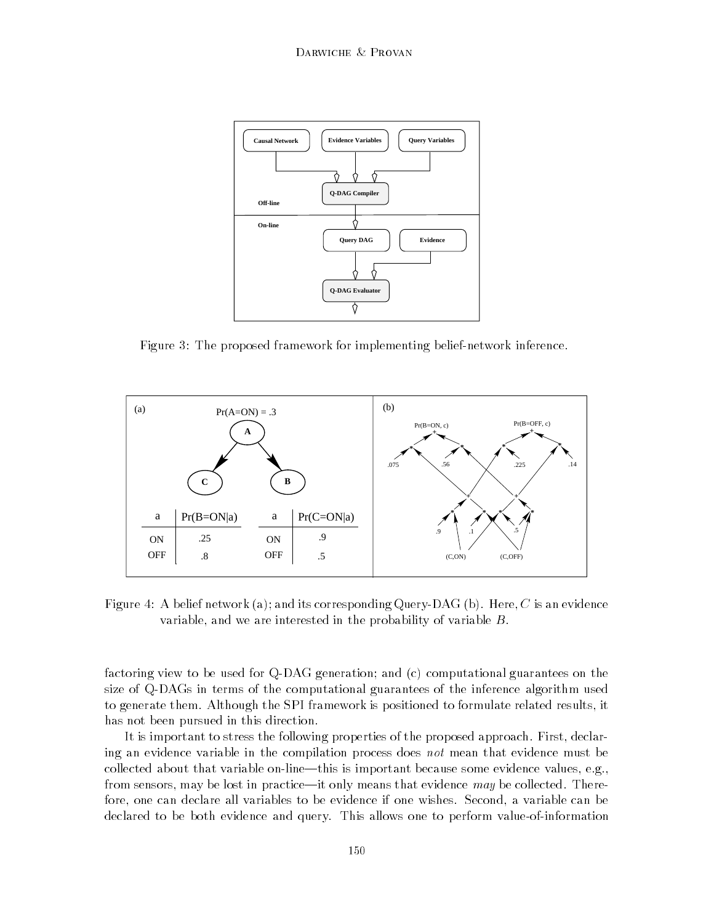

Figure 3: The proposed framework for implementing belief-network inference.



Figure 4: A belief network (a); and its corresponding Query-DAG (b). Here, C is an evidence variable, and we are interested in the probability of variable B.

factoring view to be used for Q-DAG generation; and (c) computational guarantees on the size of Q-DAGs in terms of the computational guarantees of the inference algorithm used to generate them. Although the SPI framework is positioned to formulate related results, it has not been pursued in this direction.

It is important to stress the following properties of the proposed approach. First, declaring an evidence variable in the compilation process does not mean that evidence must be collected about that variable on-line—this is important because some evidence values, e.g., from sensors, may be lost in practice—it only means that evidence  $may$  be collected. Therefore, one can declare all variables to be evidence if one wishes. Second, a variable can be declared to be both evidence and query. This allows one to perform value-of-information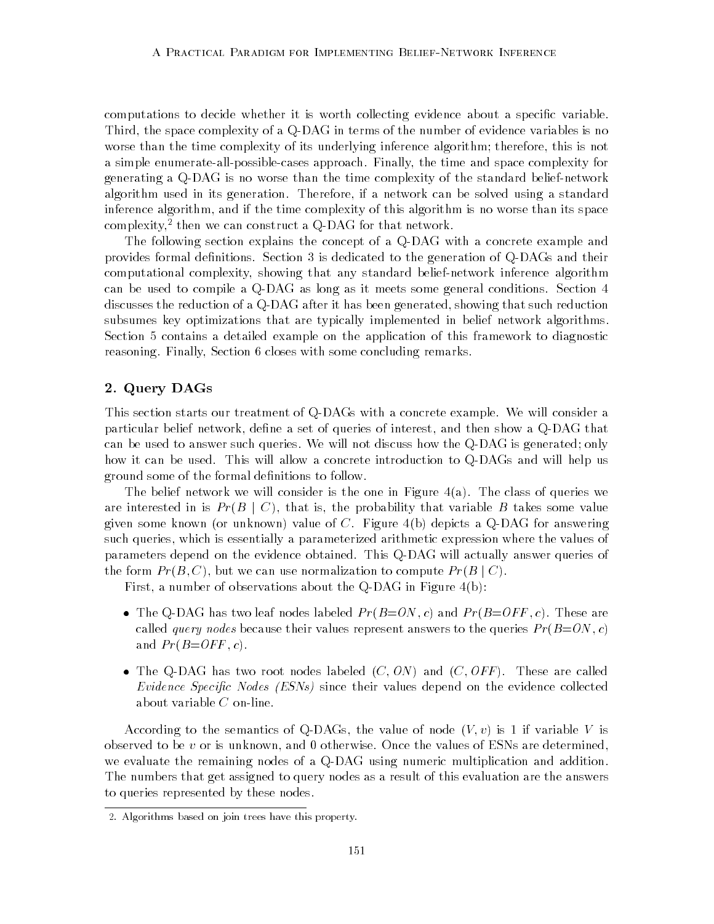computations to decide whether it is worth collecting evidence about a specific variable. Third, the space complexity of a Q-DAG in terms of the number of evidence variables is no worse than the time complexity of its underlying inference algorithm; therefore, this is not a simple enumerate-all-possible-cases approach. Finally, the time and space complexity for generating a Q-DAG is no worse than the time complexity of the standard belief-network algorithm used in its generation. Therefore, if a network can be solved using a standard inference algorithm, and if the time complexity of this algorithm is no worse than its space complexity, then we can construct a Q-DAG for that network.

The following section explains the concept of a Q-DAG with a concrete example and provides formal definitions. Section 3 is dedicated to the generation of Q-DAGs and their computational complexity, showing that any standard belief-network inference algorithm can be used to compile a Q-DAG as long as it meets some general conditions. Section 4 discusses the reduction of a Q-DAG after it has been generated, showing that such reduction subsumes key optimizations that are typically implemented in belief network algorithms. Section 5 contains a detailed example on the application of this framework to diagnostic reasoning. Finally, Section 6 closes with some concluding remarks.

## 2. Query DAGs

This section starts our treatment of Q-DAGs with a concrete example. We will consider a particular belief network, define a set of queries of interest, and then show a Q-DAG that can be used to answer such queries. We will not discuss how the Q-DAG is generated; only how it can be used. This will allow a concrete introduction to Q-DAGs and will help us ground some of the formal definitions to follow.

The belief network we will consider is the one in Figure 4(a). The class of queries we are interested in is  $Pr(B | C)$ , that is, the probability that variable B takes some value given some known (or unknown) value of  $C$ . Figure  $4(b)$  depicts a Q-DAG for answering such queries, which is essentially a parameterized arithmetic expression where the values of parameters depend on the evidence obtained. This Q-DAG will actually answer queries of the form  $Pr(B, C)$ , but we can use normalization to compute  $Pr(B | C)$ .

First, a number of observations about the Q-DAG in Figure 4(b):

- $\bullet$  The Q-DAG has two leaf nodes labeled  $Pr(B=ON, c)$  and  $Pr(B=OFF, c)$ . These are called *query nodes* because their values represent answers to the queries  $Pr(B=ON, c)$ and  $Pr(B=OFF, c)$ .
- $\bullet$  lne Q-DAG has two root nodes labeled (C, ON) and (C, OFF). These are called Evidence Specific Nodes  $(ESNs)$  since their values depend on the evidence collected about variable C on-line.

According to the semantics of Q-DAGs, the value of node  $(V, v)$  is 1 if variable V is observed to be  $v$  or is unknown, and 0 otherwise. Once the values of ESNs are determined, we evaluate the remaining nodes of a Q-DAG using numeric multiplication and addition. The numbers that get assigned to query nodes as a result of this evaluation are the answers to queries represented by these nodes.

<sup>2.</sup> Algorithms based on join trees have this property.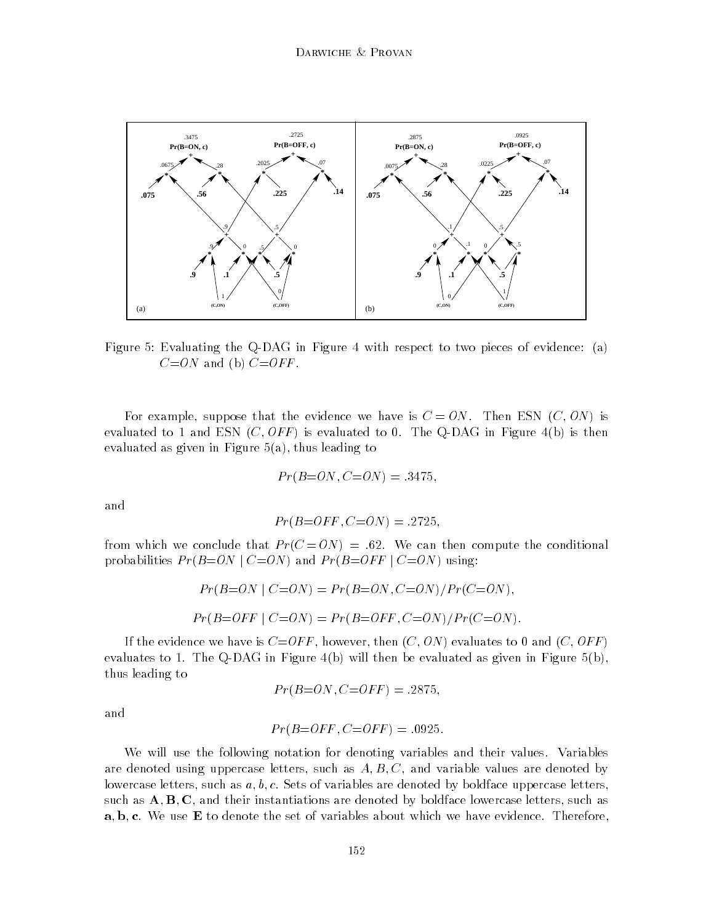

Figure 5: Evaluating the Q-DAG in Figure 4 with respect to two pieces of evidence: (a)  $C=ON$  and (b)  $C=OFF$ .

For example, suppose that the evidence we have is  $C = ON$ . Then ESN  $(C, ON)$  is evaluated to 1 and ESN  $(C, OFF)$  is evaluated to 0. The Q-DAG in Figure 4(b) is then evaluated as given in Figure  $5(a)$ , thus leading to

$$
Pr(B=ON, C=ON) = .3475,
$$

and

$$
Pr(B=OFF, C=ON) = .2725,
$$

from which we conclude that  $Pr(C = ON) = .62$ . We can then compute the conditional probabilities  $Pr(B=ON \mid C=ON)$  and  $Pr(B=OFF \mid C=ON)$  using:

$$
Pr(B=ON \mid C=ON) = Pr(B=ON, C=ON)/Pr(C=ON),
$$
  

$$
Pr(B=OFF \mid C=ON) = Pr(B=OFF, C=ON)/Pr(C=ON).
$$

If the evidence we have is  $C=OFF$ , however, then  $(C, ON)$  evaluates to 0 and  $(C, OFF)$ evaluates to 1. The Q-DAG in Figure 4(b) will then be evaluated as given in Figure 5(b), thus leading to

$$
Pr(B=ON, C=OFF) = .2875,
$$

and

$$
Pr(B=OFF, C=OFF) = .0925.
$$

We will use the following notation for denoting variables and their values. Variables are denoted using uppercase letters, such as  $A, B, C$ , and variable values are denoted by lowercase letters, such as  $a, b, c$ . Sets of variables are denoted by boldface uppercase letters, such as  $A, B, C$ , and their instantiations are denoted by boldface lowercase letters, such as  $a, b, c$ . We use  $E$  to denote the set of variables about which we have evidence. Therefore,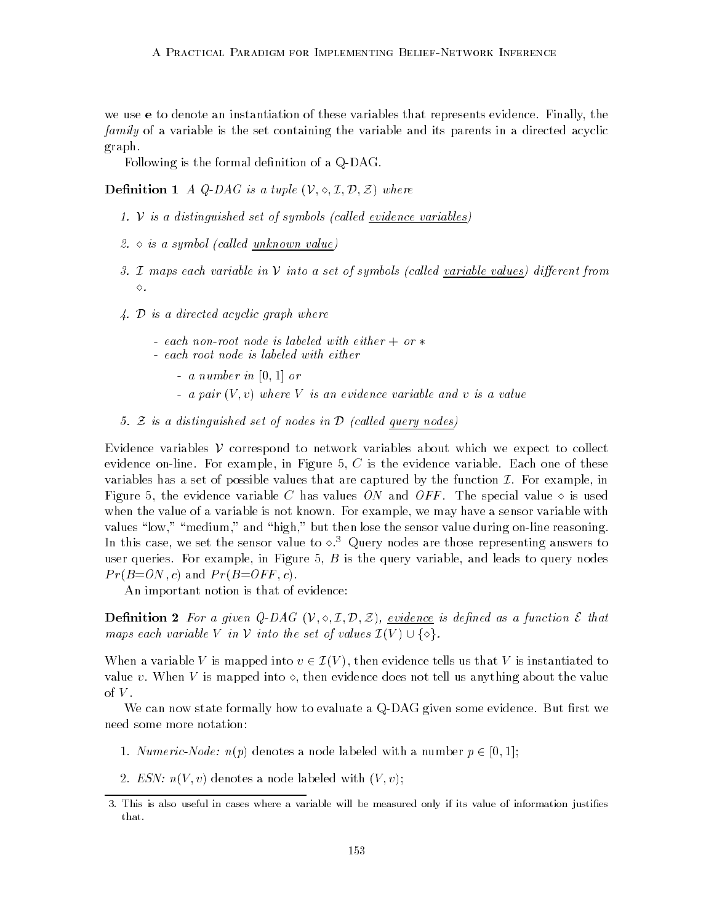we use e to denote an instantiation of these variables that represents evidence. Finally, the family of a variable is the set containing the variable and its parents in a directed acyclic graph.

Following is the formal definition of a Q-DAG.

**Definition** 1 A Q-DAG is a tuple  $(V, \diamond, \mathcal{I}, \mathcal{D}, \mathcal{Z})$  where

- 1.  $V$  is a distinguished set of symbols (called evidence variables)
- 2.  $\circ$  is a symbol (called unknown value)
- 3. I maps each variable in  $V$  into a set of symbols (called variable values) different from  $\diamond$  .
- 4. D is a directed acyclic graph where
	- each non-root node is labeled with either  $+$  or  $*$
	- each root node is labeled with either
		- $-$  a number in [0, 1] or
		- a pair  $(V, v)$  where V is an evidence variable and v is a value
- 5. Z is a distinguished set of nodes in  $\mathcal D$  (called query nodes)

Evidence variables  $V$  correspond to network variables about which we expect to collect evidence on-line. For example, in Figure 5,  $C$  is the evidence variable. Each one of these variables has a set of possible values that are captured by the function  $\mathcal I$ . For example, in Figure 5, the evidence variable C has values ON and OFF. The special value  $\diamond$  is used when the value of a variable is not known. For example, we may have a sensor variable with values "low," "medium," and "high," but then lose the sensor value during on-line reasoning. In this case, we set the sensor value to  $\sim$ .<sup>3</sup> Query nodes are those representing answers to user queries. For example, in Figure 5,  $B$  is the query variable, and leads to query nodes  $Pr(B=ON, c)$  and  $Pr(B=OFF, c)$ .

An important notion is that of evidence:

**Definition 2** For a given Q-DAG  $(V, \diamond, \mathcal{I}, \mathcal{D}, \mathcal{Z})$ , evidence is defined as a function  $\mathcal{E}$  that maps each variable V in V into the set of values  $\mathcal{I}(V) \cup \{\diamond\}.$ 

When a variable V is mapped into  $v \in \mathcal{I}(V)$ , then evidence tells us that V is instantiated to value v. When V is mapped into  $\circ$ , then evidence does not tell us anything about the value of  $V$ .<br>We can now state formally how to evaluate a Q-DAG given some evidence. But first we

need some more notation:

- 1. Numeric-Node:  $n(p)$  denotes a node labeled with a number  $p \in [0, 1]$ ;
- 2. ESN:  $n(V, v)$  denotes a node labeled with  $(V, v)$ ;

<sup>3.</sup> This is also useful in cases where a variable will be measured only if its value of information justies that.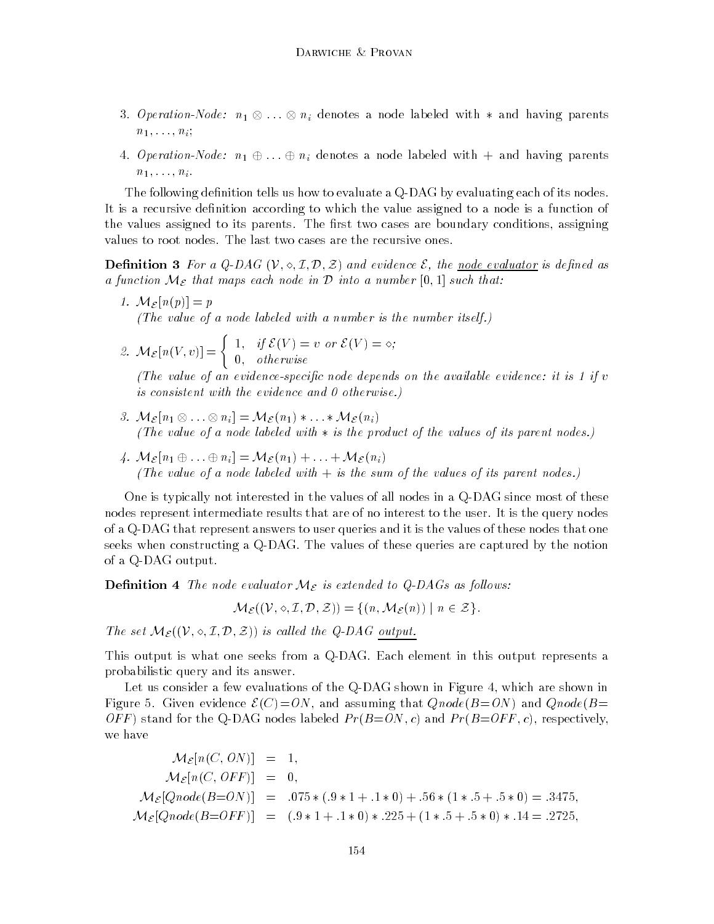- 3. Operation-Node:  $n_1 \otimes \ldots \otimes n_i$  denotes a node labeled with  $*$  and having parents  $n_1, \ldots, n_i;$
- 4. Operation-Node:  $n_1 \oplus ... \oplus n_i$  denotes a node labeled with  $+$  and having parents  $n_1, \ldots, n_i$ .

The following definition tells us how to evaluate a Q-DAG by evaluating each of its nodes. It is a recursive definition according to which the value assigned to a node is a function of the values assigned to its parents. The first two cases are boundary conditions, assigning values to root nodes. The last two cases are the recursive ones.

**Definition 3** For a Q-DAG  $(V, \diamond, \mathcal{I}, \mathcal{D}, \mathcal{Z})$  and evidence  $\mathcal{E}$ , the <u>node evaluator</u> is defined as a function  $M_{\mathcal{E}}$  that maps each node in  $\mathcal D$  into a number  $[0,1]$  such that:

- 1.  $\mathcal{M}_{\mathcal{E}}[n(p)] = p$ (The value of a node labeled with a number is the number itself.)
- 2.  $\mathcal{M}_{\mathcal{E}}[n(V,v)] = \begin{cases} 1, & \text{if } \mathcal{E}(V) = v \text{ or } \mathcal{E}(V) = \diamond; \\ 0, & \text{if } \mathcal{E}(V) = \diamond; \end{cases}$ 0; otherwise

(The value of an evidence-specific node depends on the available evidence: it is  $1$  if  $v$ is consistent with the evidence and 0 otherwise.)

- 3.  $\mathcal{M}_{\mathcal{E}}[n_1 \otimes \ldots \otimes n_i] = \mathcal{M}_{\mathcal{E}}(n_1) * \ldots * \mathcal{M}_{\mathcal{E}}(n_i)$ (The value of a node labeled with  $*$  is the product of the values of its parent nodes.)
- 4.  $M_{\mathcal{E}}[n_1 \oplus ... \oplus n_i] = M_{\mathcal{E}}(n_1) + ... + M_{\mathcal{E}}(n_i)$ (The value of a node labeled with  $+$  is the sum of the values of its parent nodes.)

One is typically not interested in the values of all nodes in a Q-DAG since most of these nodes represent intermediate results that are of no interest to the user. It is the query nodes of a Q-DAG that represent answers to user queries and it is the values of these nodes that one seeks when constructing a Q-DAG. The values of these queries are captured by the notion of a Q-DAG output.

**Definition 4** The node evaluator  $M_{\mathcal{E}}$  is extended to Q-DAGs as follows:

 $\mathcal{M}_{\mathcal{E}}((\mathcal{V},\diamond,\mathcal{I},\mathcal{D},\mathcal{Z}))=\{(n,\mathcal{M}_{\mathcal{E}}(n))\mid n\in\mathcal{Z}\}.$ 

The set  $\mathcal{M}_{\mathcal{E}}((\mathcal{V}, \diamond, \mathcal{I}, \mathcal{D}, \mathcal{Z}))$  is called the Q-DAG output.

This output is what one seeks from a Q-DAG. Each element in this output represents a probabilistic query and its answer.

Let us consider a few evaluations of the Q-DAG shown in Figure 4, which are shown in Figure 5. Given evidence  $\mathcal{E}(C) = ON$ , and assuming that  $Qnode(B=ON)$  and  $Qnode(B=CD)$ OFF) stand for the Q-DAG nodes labeled  $Pr(B=ON, c)$  and  $Pr(B=OFF, c)$ , respectively, we have

$$
\mathcal{M}_{\mathcal{E}}[n(C, ON)] = 1,\n\mathcal{M}_{\mathcal{E}}[n(C, OFF)] = 0,\n\mathcal{M}_{\mathcal{E}}[Qnode(B=ON)] = .075 * (.9 * 1 + .1 * 0) + .56 * (1 * .5 + .5 * 0) = .3475,\n\mathcal{M}_{\mathcal{E}}[Qnode(B=OFF)] = (.9 * 1 + .1 * 0) * .225 + (1 * .5 + .5 * 0) * .14 = .2725,
$$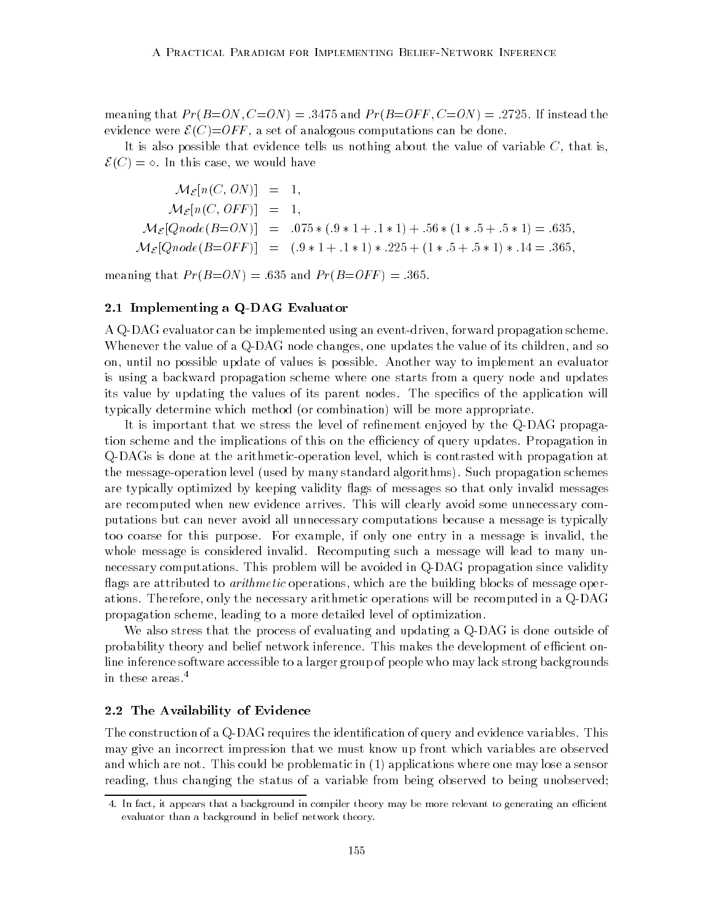meaning that  $Pr(B=ON, C=ON) = .3475$  and  $Pr(B=OFF, C=ON) = .2725$ . If instead the evidence were  $\mathcal{E}(C) = OFF$ , a set of analogous computations can be done.

It is also possible that evidence tells us nothing about the value of variable  $C$ , that is,  $\mathcal{E}(C) = \diamond$ . In this case, we would have

$$
\mathcal{M}_{\mathcal{E}}[n(C, ON)] = 1,
$$
  
\n
$$
\mathcal{M}_{\mathcal{E}}[n(C, OFF)] = 1,
$$
  
\n
$$
\mathcal{M}_{\mathcal{E}}[Qnode(B=ON)] = .075 * (.9 * 1 + .1 * 1) + .56 * (1 * .5 + .5 * 1) = .635,
$$
  
\n
$$
\mathcal{M}_{\mathcal{E}}[Qnode(B=OFF)] = (.9 * 1 + .1 * 1) * .225 + (1 * .5 + .5 * 1) * .14 = .365,
$$

meaning that  $Pr(B=ON) = .635$  and  $Pr(B=OFF) = .365$ .

## 2.1 Implementing a Q-DAG Evaluator

A Q-DAG evaluator can be implemented using an event-driven, forward propagation scheme. Whenever the value of a Q-DAG node changes, one updates the value of its children, and so on, until no possible update of values is possible. Another way to implement an evaluator is using a backward propagation scheme where one starts from a query node and updates its value by updating the values of its parent nodes. The specifics of the application will typically determine which method (or combination) will be more appropriate.

It is important that we stress the level of refinement enjoyed by the Q-DAG propagation scheme and the implications of this on the efficiency of query updates. Propagation in Q-DAGs is done at the arithmetic-operation level, which is contrasted with propagation at the message-operation level (used by many standard algorithms). Such propagation schemes are typically optimized by keeping validity flags of messages so that only invalid messages are recomputed when new evidence arrives. This will clearly avoid some unnecessary computations but can never avoid all unnecessary computations because a message is typically too coarse for this purpose. For example, if only one entry in a message is invalid, the whole message is considered invalid. Recomputing such a message will lead to many unnecessary computations. This problem will be avoided in Q-DAG propagation since validity flags are attributed to *arithmetic* operations, which are the building blocks of message operations. Therefore, only the necessary arithmetic operations will be recomputed in a Q-DAG propagation scheme, leading to a more detailed level of optimization.

We also stress that the process of evaluating and updating a Q-DAG is done outside of probability theory and belief network inference. This makes the development of efficient online inference software accessible to a larger group of people who may lack strong backgrounds in these areas.4

## 2.2 The Availability of Evidence

The construction of a Q-DAG requires the identification of query and evidence variables. This may give an incorrect impression that we must know up front which variables are observed and which are not. This could be problematic in (1) applications where one may lose a sensor reading, thus changing the status of a variable from being observed to being unobserved;

<sup>4.</sup> In fact, it appears that a background in compiler theory may be more relevant to generating an efficient evaluator than a background in belief network theory.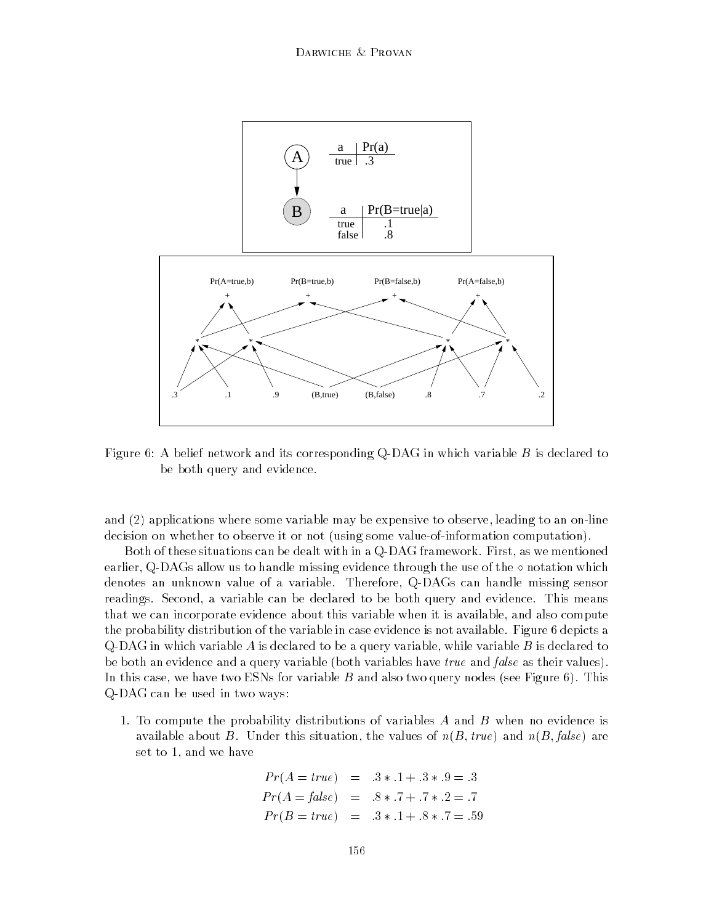

Figure 6: A belief network and its corresponding Q-DAG in which variable B is declared to be both query and evidence.

and (2) applications where some variable may be expensive to observe, leading to an on-line decision on whether to observe it or not (using some value-of-information computation).

Both of these situations can be dealt with in a Q-DAG framework. First, as we mentioned earlier, Q-DAGs allow us to handle missing evidence through the use of the  $\diamond$  notation which denotes an unknown value of a variable. Therefore, Q-DAGs can handle missing sensor readings. Second, a variable can be declared to be both query and evidence. This means that we can incorporate evidence about this variable when it is available, and also compute the probability distribution of the variable in case evidence is not available. Figure 6 depicts a Q-DAG in which variable A is declared to be a query variable, while variable B is declared to be both an evidence and a query variable (both variables have *true* and *false* as their values). In this case, we have two ESNs for variable  $B$  and also two query nodes (see Figure 6). This Q-DAG can be used in two ways:

1. To compute the probability distributions of variables A and B when no evidence is available about B. Under this situation, the values of  $n(B, true)$  and  $n(B, false)$  are set to 1, and we have

$$
Pr(A = true) = .3 * .1 + .3 * .9 = .3
$$
  
\n
$$
Pr(A = false) = .8 * .7 + .7 * .2 = .7
$$
  
\n
$$
Pr(B = true) = .3 * .1 + .8 * .7 = .59
$$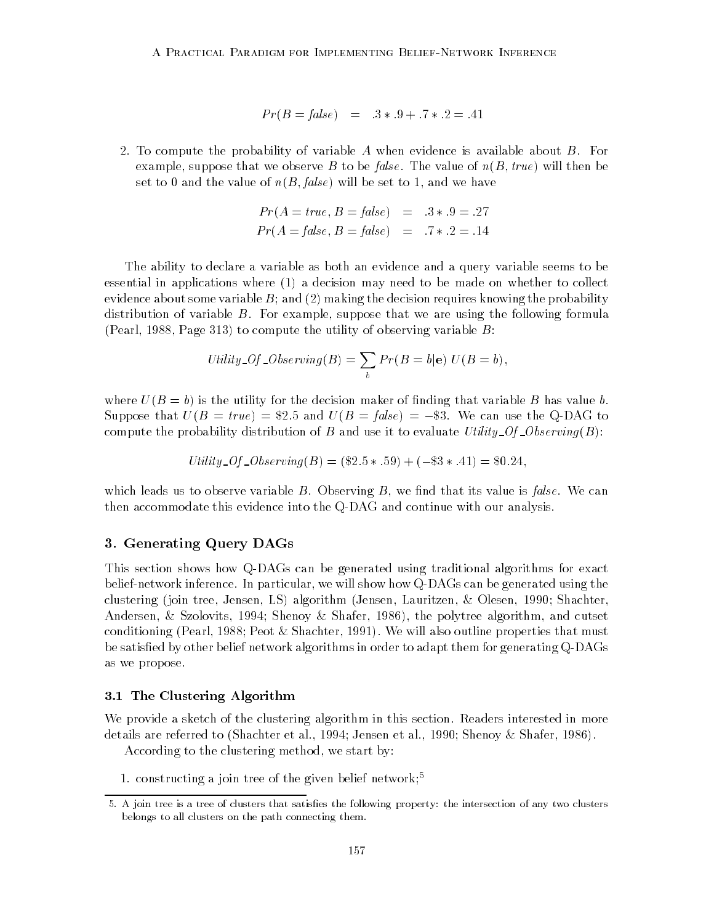$$
Pr(B = false)
$$
 = 3 \* 9 + 7 \* 2 = 0.41

2. To compute the probability of variable A when evidence is available about  $B$ . For example, suppose that we observe B to be false. The value of  $n(B, true)$  will then be set to 0 and the value of  $n(B, false)$  will be set to 1, and we have

$$
Pr(A = true, B = false) = .3*.9 = .27
$$
  
 $Pr(A = false, B = false) = .7*.2 = .14$ 

The ability to declare a variable as both an evidence and a query variable seems to be essential in applications where (1) a decision may need to be made on whether to collect evidence about some variable  $B$ ; and (2) making the decision requires knowing the probability distribution of variable  $B$ . For example, suppose that we are using the following formula (Pearl, 1988, Page 313) to compute the utility of observing variable  $B$ :

$$
Utility\_Of\_Observing(B) = \sum_{b} Pr(B = b | e) U(B = b),
$$

where  $U(B = b)$  is the utility for the decision maker of finding that variable B has value b. Suppose that  $U(B = true) = $2.5$  and  $U(B = false) = -\$3$ . We can use the Q-DAG to compute the probability distribution of B and use it to evaluate Utility  $Of\_Observing(B)$ :

$$
Utility\_Of\_Observing(B) = (\$2.5*.59) + (-\$3*.41) = \$0.24
$$

which leads us to observe variable  $B$ . Observing  $B$ , we find that its value is *false*. We can then accommodate this evidence into the Q-DAG and continue with our analysis.

## 3. Generating Query DAGs

This section shows how Q-DAGs can be generated using traditional algorithms for exact belief-network inference. In particular, we will show how Q-DAGs can be generated using the clustering (join tree, Jensen, LS) algorithm (Jensen, Lauritzen, & Olesen, 1990; Shachter, Andersen, & Szolovits, 1994; Shenoy & Shafer, 1986), the polytree algorithm, and cutset conditioning (Pearl, 1988; Peot & Shachter, 1991). We will also outline properties that must be satisfied by other belief network algorithms in order to adapt them for generating Q-DAGs as we propose.

## 3.1 The Clustering Algorithm

We provide a sketch of the clustering algorithm in this section. Readers interested in more details are referred to (Shachter et al., 1994; Jensen et al., 1990; Shenoy & Shafer, 1986).

According to the clustering method, we start by:

1. constructing a join tree of the given belief network;5

<sup>5.</sup> A join tree is a tree of clusters that satises the following property: the intersection of any two clusters belongs to all clusters on the path connecting them.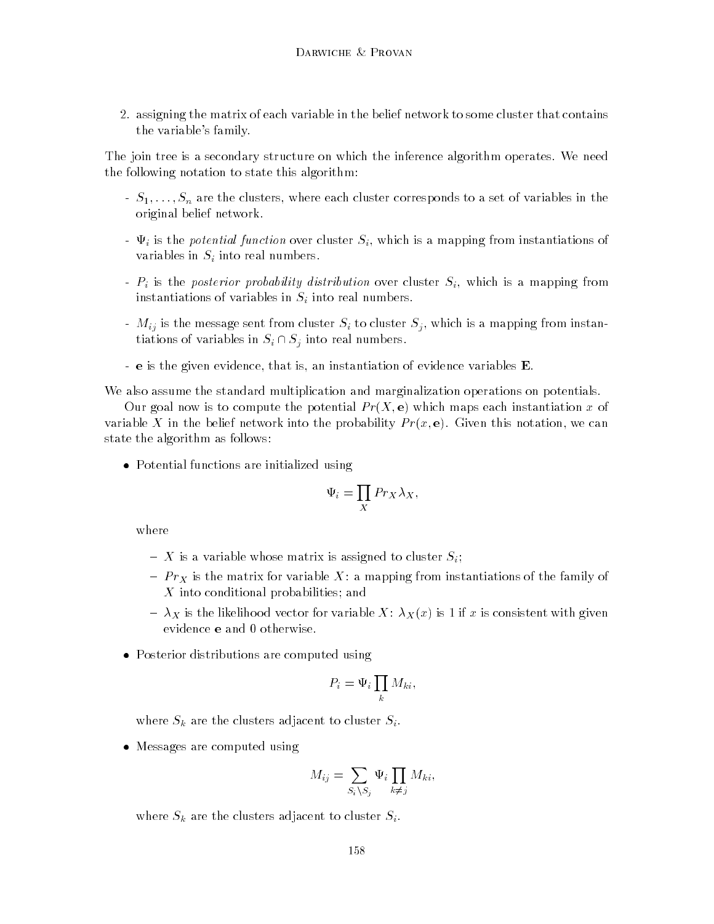2. assigning the matrix of each variable in the belief network to some cluster that contains the variable's family.

The join tree is a secondary structure on which the inference algorithm operates. We need the following notation to state this algorithm:

- $S_1, \ldots, S_n$  are the clusters, where each cluster corresponds to a set of variables in the original belief network.
- $\Psi_i$  is the potential function over cluster  $S_i$ , which is a mapping from instantiations of variables in  $S_i$  into real numbers.
- $P_i$  is the posterior probability distribution over cluster  $S_i$ , which is a mapping from instantiations of variables in  $S_i$  into real numbers.
- $M_{ij}$  is the message sent from cluster  $S_i$  to cluster  $S_j$ , which is a mapping from instantiations of variables in  $S_i \cap S_j$  into real numbers.
- e is the given evidence, that is, an instantiation of evidence variables E.

We also assume the standard multiplication and marginalization operations on potentials.

Our goal now is to compute the potential  $Pr(X, e)$  which maps each instantiation x of variable X in the belief network into the probability  $Pr(x, e)$ . Given this notation, we can state the algorithm as follows:

 $\bullet$  -Potential functions are initialized using

$$
\Psi_i = \prod_X Pr_X \lambda_X,
$$

- ${ X}$  is a variable whose matrix is assigned to cluster  $S_i;$
- ${\bf P} \cdot {\bf X}$  is the matrix for variable  ${\bf P} \cdot {\bf P}$  is the family of the family of the family of the family of the family of the family of the family of the family of the family of the family of the family of the family X into conditional probabilities; and
- ${\cal X} = \lambda_X$  is the likelihood vector for variable  $X: \lambda_X(x)$  is 1 if x is consistent with given evidence e and 0 otherwise.
- $\bullet\,$  Posterior distributions are computed using  $\,$

$$
P_i = \Psi_i \prod_k M_{ki},
$$

where  $S_k$  are the clusters adjacent to cluster  $S_i$ .

 $\bullet\,$  Messages are computed using  $\,$ 

$$
M_{ij} = \sum_{S_i \setminus S_j} \Psi_i \prod_{k \neq j} M_{ki},
$$

where  $S_k$  are the clusters adjacent to cluster  $S_i$ .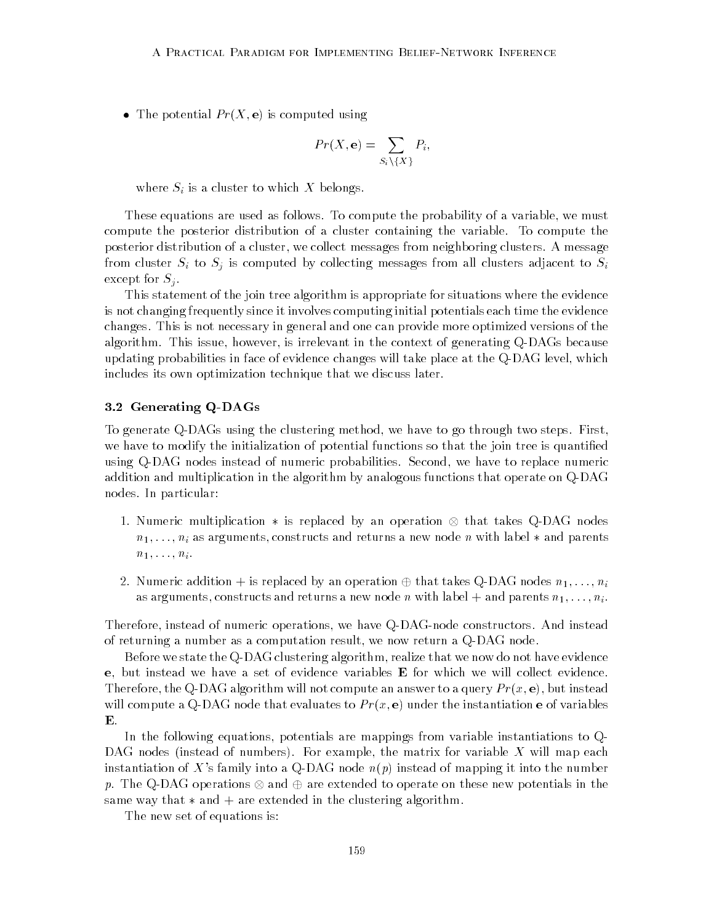$\bullet$  The potential  $Pr(X, e)$  is computed using

$$
Pr(X, \mathbf{e}) = \sum_{S_i \setminus \{X\}} P_i,
$$

where  $S_i$  is a cluster to which X belongs.

These equations are used as follows. To compute the probability of a variable, we must compute the posterior distribution of a cluster containing the variable. To compute the posterior distribution of a cluster, we collect messages from neighboring clusters. A message from cluster  $S_i$  to  $S_j$  is computed by collecting messages from all clusters adjacent to  $S_i$ except for  $S_i$ .

This statement of the join tree algorithm is appropriate for situations where the evidence is not changing frequently since it involves computing initial potentials each time the evidence changes. This is not necessary in general and one can provide more optimized versions of the algorithm. This issue, however, is irrelevant in the context of generating Q-DAGs because updating probabilities in face of evidence changes will take place at the Q-DAG level, which includes its own optimization technique that we discuss later.

## 3.2 Generating Q-DAGs

To generate Q-DAGs using the clustering method, we have to go through two steps. First, we have to modify the initialization of potential functions so that the join tree is quantied using Q-DAG nodes instead of numeric probabilities. Second, we have to replace numeric addition and multiplication in the algorithm by analogous functions that operate on Q-DAG nodes. In particular:

- 1. Numeric multiplication  $*$  is replaced by an operation  $\otimes$  that takes Q-DAG nodes  $n_1, \ldots, n_i$  as arguments, constructs and returns a new node n with label  $*$  and parents  $n_1, \ldots, n_i$ .
- 2. Numeric addition + is replaced by an operation  $\oplus$  that takes Q-DAG nodes  $n_1, \ldots, n_i$ as arguments, constructs and returns a new node n with label  $+$  and parents  $n_1, \ldots, n_i$ .

Therefore, instead of numeric operations, we have Q-DAG-node constructors. And instead of returning a number as a computation result, we now return a Q-DAG node.

Before we state the Q-DAG clustering algorithm, realize that we now do not have evidence e, but instead we have a set of evidence variables E for which we will collect evidence. Therefore, the Q-DAG algorithm will not compute an answer to a query  $Pr(x, e)$ , but instead will compute a Q-DAG node that evaluates to  $Pr(x, e)$  under the instantiation e of variables

In the following equations, potentials are mappings from variable instantiations to Q-DAG nodes (instead of numbers). For example, the matrix for variable  $X$  will map each instantiation of X's family into a Q-DAG node  $n(p)$  instead of mapping it into the number  $p$ . The Q-DAG operations  $\otimes$  and  $\oplus$  are extended to operate on these new potentials in the same way that  $*$  and  $+$  are extended in the clustering algorithm.

The new set of equations is: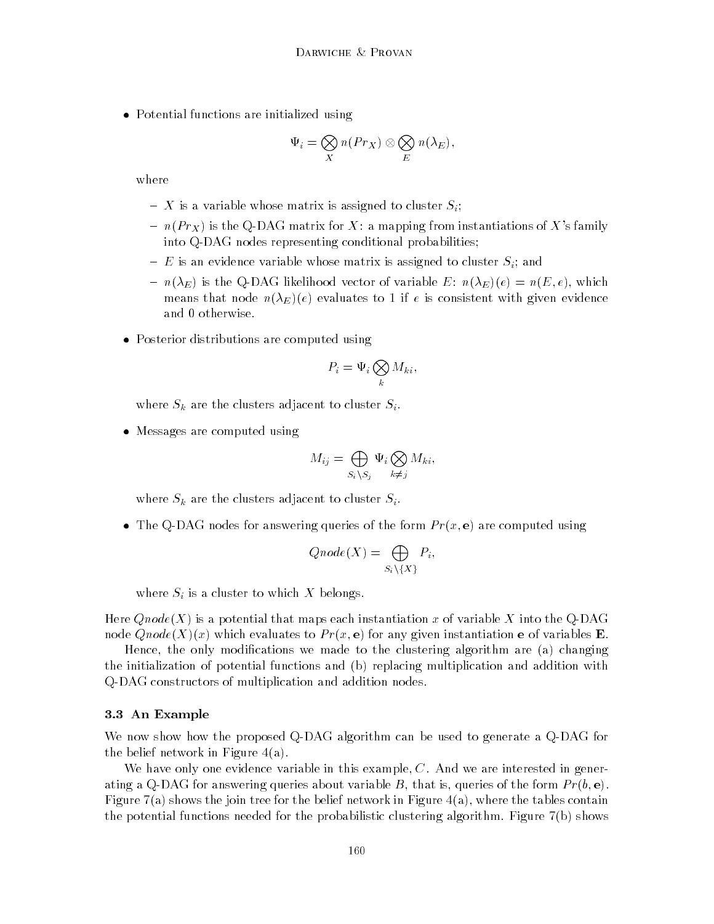$\bullet$  -Potential functions are initialized using

$$
\Psi_i = \bigotimes_X n(Pr_X) \otimes \bigotimes_E n(\lambda_E),
$$

where

- ${ X}$  is a variable whose matrix is assigned to cluster  $S_i;$
- ${ n(Pr_X)}$  is the Q-DAG matrix for X: a mapping from instantiations of X's family into Q-DAG nodes representing conditional probabilities;
- $=$  E is an evidence variable whose matrix is assigned to cluster  $S_i$ ; and
- ${ n(\lambda_E)}$  is the Q-DAG likelihood vector of variable E:  $n(\lambda_E)(e) = n(E, e)$ , which means that node  $n(\lambda_E)(e)$  evaluates to 1 if e is consistent with given evidence and 0 otherwise.
- $\bullet\,$  Posterior distributions are computed using

$$
P_i = \Psi_i \bigotimes_k M_{ki},
$$

where  $S_k$  are the clusters adjacent to cluster  $S_i$ .

 $\bullet\,$  Messages are computed using  $\,$ 

$$
M_{ij} = \bigoplus_{S_i \setminus S_j} \Psi_i \bigotimes_{k \neq j} M_{ki},
$$

where  $S_k$  are the clusters adjacent to cluster  $S_i$ .

 $\bullet$  The Q-DAG nodes for answering queries of the form  $Pr(x, {\bf e})$  are computed using

$$
Qnode(X) = \bigoplus_{S_i \setminus \{X\}} P_i,
$$

where  $S_i$  is a cluster to which X belongs.

Here  $Qnode(X)$  is a potential that maps each instantiation x of variable X into the Q-DAG node  $Qnode(X)(x)$  which evaluates to  $Pr(x, e)$  for any given instantiation e of variables E.

Hence, the only modications we made to the clustering algorithm are (a) changing the initialization of potential functions and (b) replacing multiplication and addition with Q-DAG constructors of multiplication and addition nodes.

### 3.3 An Example

We now show how the proposed Q-DAG algorithm can be used to generate a Q-DAG for the belief network in Figure 4(a).

We have only one evidence variable in this example,  $C$ . And we are interested in generating a Q-DAG for answering queries about variable B, that is, queries of the form  $Pr(b, e)$ . Figure 7(a) shows the join tree for the belief network in Figure 4(a), where the tables contain the potential functions needed for the probabilistic clustering algorithm. Figure 7(b) shows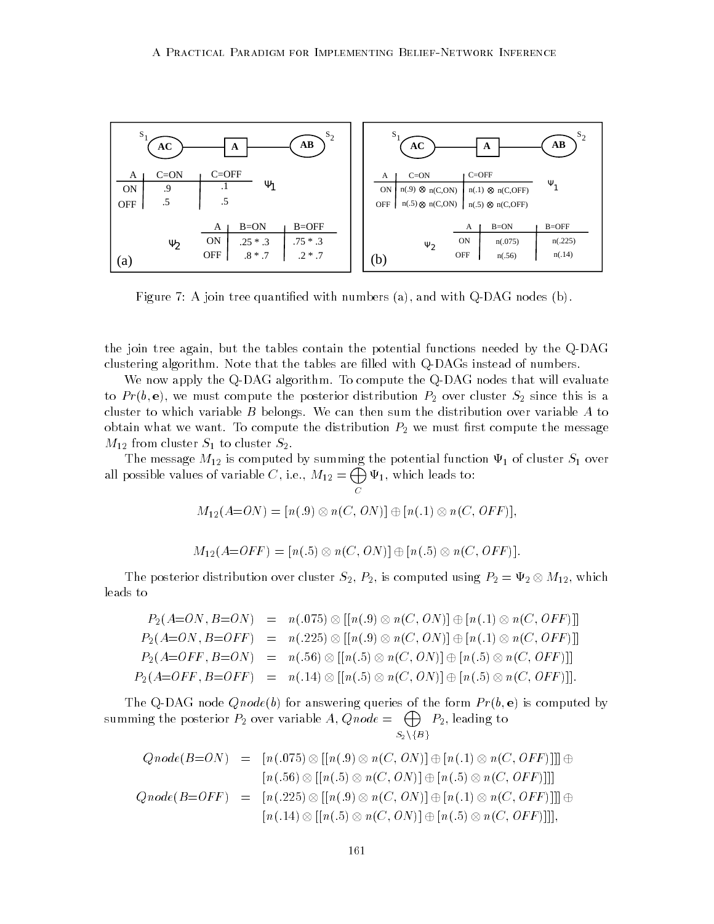

Figure 7: A join tree quantied with numbers (a), and with Q-DAG nodes (b).

the join tree again, but the tables contain the potential functions needed by the Q-DAG clustering algorithm. Note that the tables are lled with Q-DAGs instead of numbers.

We now apply the Q-DAG algorithm. To compute the Q-DAG nodes that will evaluate to  $Pr(b, e)$ , we must compute the posterior distribution  $P_2$  over cluster  $S_2$  since this is a cluster to which variable  $B$  belongs. We can then sum the distribution over variable  $A$  to obtain what we want. To compute the distribution  $P_2$  we must first compute the message  $M_{12}$  from cluster  $S_1$  to cluster  $S_2$ .

The message  $M_{12}$  is computed by summing the potential function  $\Psi_1$  of cluster  $S_1$  over all possible values of variable C, i.e.,  $M_{12} = \bigoplus \Psi_1$ , which 1; which leads to:

$$
M_{12}(A=ON) = [n(.9) \otimes n(C, ON)] \oplus [n(.1) \otimes n(C, OFF)],
$$

$$
M_{12}(A=OFF) = [n(.5) \otimes n(C, ON)] \oplus [n(.5) \otimes n(C, OFF)].
$$

The posterior distribution over cluster  $S_2, P_2$ , is computed using  $P_2 = \Psi_2 \otimes M_{12}$ , which leads to

$$
P_2(A=ON, B=ON) = n(.075) \otimes [[n(.9) \otimes n(C, ON)] \oplus [n(.1) \otimes n(C, OFF)]]
$$
  
\n
$$
P_2(A=ON, B=OFF) = n(.225) \otimes [[n(.9) \otimes n(C, ON)] \oplus [n(.1) \otimes n(C, OFF)]]
$$
  
\n
$$
P_2(A=OFF, B=ON) = n(.56) \otimes [[n(.5) \otimes n(C, ON)] \oplus [n(.5) \otimes n(C, OFF)]]
$$
  
\n
$$
P_2(A=OFF, B=OFF) = n(.14) \otimes [[n(.5) \otimes n(C, ON)] \oplus [n(.5) \otimes n(C, OFF)]]
$$
.

The Q-DAG node  $Qnode(b)$  for answering queries of the form  $Pr(b, e)$  is computed by summing the posterior  $P_2$  over variable  $A, Qnode = \bigoplus_{P_2} P_2$ , leading to  $S_2 \setminus \{B\}$ 

$$
Qnode(B=ON) = [n(.075) \otimes [[n(.9) \otimes n(C, ON)] \oplus [n(.1) \otimes n(C, OFF)]]] \oplus
$$
  
\n
$$
[n(.56) \otimes [[n(.5) \otimes n(C, ON)] \oplus [n(.5) \otimes n(C, OFF)]]]
$$
  
\n
$$
Qnode(B=OFF) = [n(.225) \otimes [[n(.9) \otimes n(C, ON)] \oplus [n(.1) \otimes n(C, OFF)]]] \oplus
$$
  
\n
$$
[n(.14) \otimes [[n(.5) \otimes n(C, ON)] \oplus [n(.5) \otimes n(C, OFF)]]],
$$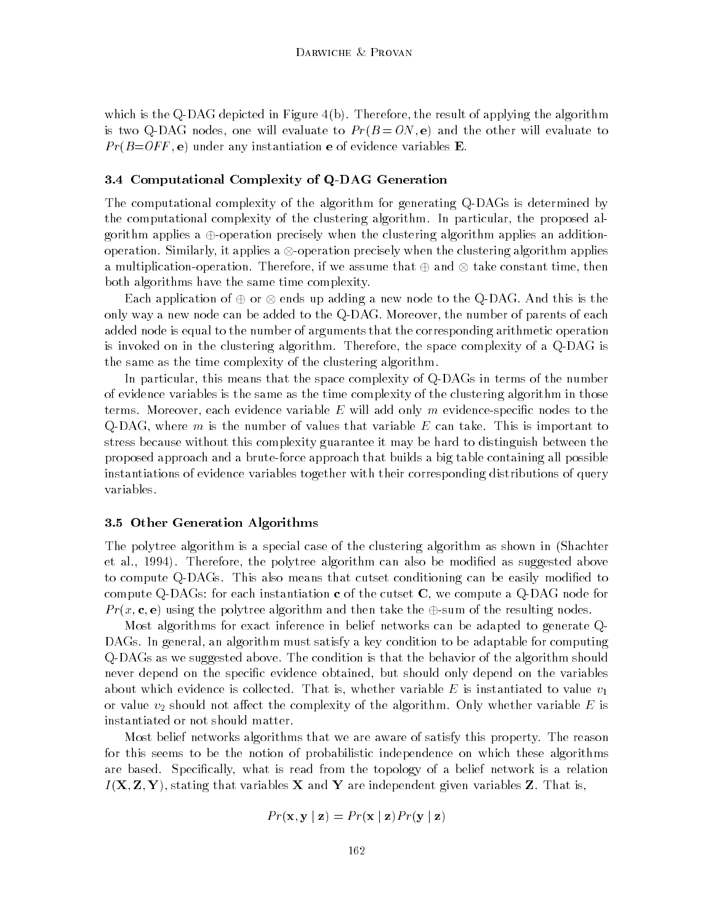which is the Q-DAG depicted in Figure 4(b). Therefore, the result of applying the algorithm is two Q-DAG nodes, one will evaluate to  $Pr(B=ON,e)$  and the other will evaluate to  $Pr(B=OFF, e)$  under any instantiation e of evidence variables **E**.

## 3.4 Computational Complexity of Q-DAG Generation

The computational complexity of the algorithm for generating Q-DAGs is determined by the computational complexity of the clustering algorithm. In particular, the proposed algorithm applies a  $\oplus$ -operation precisely when the clustering algorithm applies an additionoperation. Similarly, it applies a  $\otimes$ -operation precisely when the clustering algorithm applies a multiplication-operation. Therefore, if we assume that  $\oplus$  and  $\otimes$  take constant time, then both algorithms have the same time complexity.

Each application of  $\oplus$  or  $\otimes$  ends up adding a new node to the Q-DAG. And this is the only way a new node can be added to the Q-DAG. Moreover, the number of parents of each added node is equal to the number of arguments that the corresponding arithmetic operation is invoked on in the clustering algorithm. Therefore, the space complexity of a Q-DAG is the same as the time complexity of the clustering algorithm.

In particular, this means that the space complexity of Q-DAGs in terms of the number of evidence variables is the same as the time complexity of the clustering algorithm in those terms. Moreover, each evidence variable  $E$  will add only  $m$  evidence-specific nodes to the Q-DAG, where  $m$  is the number of values that variable  $E$  can take. This is important to stress because without this complexity guarantee it may be hard to distinguish between the proposed approach and a brute-force approach that builds a big table containing all possible instantiations of evidence variables together with their corresponding distributions of query variables.

## 3.5 Other Generation Algorithms

The polytree algorithm is a special case of the clustering algorithm as shown in (Shachter et al., 1994). Therefore, the polytree algorithm can also be modified as suggested above to compute Q-DAGs. This also means that cutset conditioning can be easily modified to compute Q-DAGs: for each instantiation  $\bf{c}$  of the cutset  $\bf{C}$ , we compute a Q-DAG node for  $Pr(x, c, e)$  using the polytree algorithm and then take the  $\oplus$ -sum of the resulting nodes.

Most algorithms for exact inference in belief networks can be adapted to generate Q-DAGs. In general, an algorithm must satisfy a key condition to be adaptable for computing Q-DAGs as we suggested above. The condition is that the behavior of the algorithm should never depend on the specic evidence obtained, but should only depend on the variables about which evidence is collected. That is, whether variable E is instantiated to value  $v_1$ or value  $v_2$  should not affect the complexity of the algorithm. Only whether variable E is instantiated or not should matter.

Most belief networks algorithms that we are aware of satisfy this property. The reason for this seems to be the notion of probabilistic independence on which these algorithms are based. Specifically, what is read from the topology of a belief network is a relation  $I(\mathbf{X}, \mathbf{Z}, \mathbf{Y})$ , stating that variables  $\mathbf{X}$  and  $\mathbf{Y}$  are independent given variables  $\mathbf{Z}$ . That is,

$$
Pr(\mathbf{x}, \mathbf{y} \mid \mathbf{z}) = Pr(\mathbf{x} \mid \mathbf{z}) Pr(\mathbf{y} \mid \mathbf{z})
$$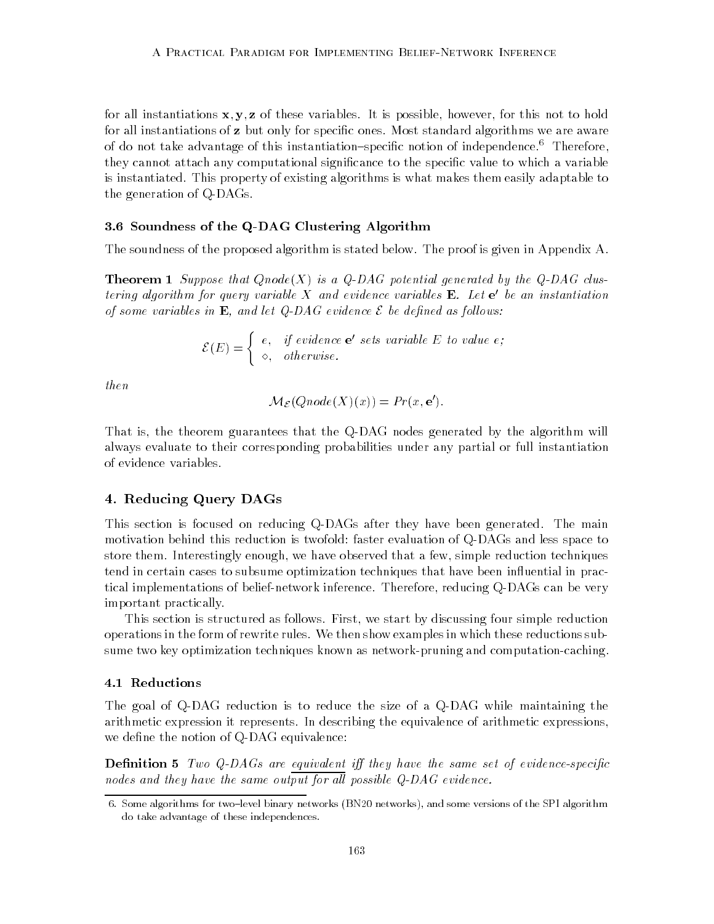for all instantiations  $x, y, z$  of these variables. It is possible, however, for this not to hold for all instantiations of z but only for specific ones. Most standard algorithms we are aware of do not take advantage of this instantiation-specific notion of independence.<sup>6</sup> Therefore, they cannot attach any computational significance to the specific value to which a variable is instantiated. This property of existing algorithms is what makes them easily adaptable to the generation of Q-DAGs.

## 3.6 Soundness of the Q-DAG Clustering Algorithm

The soundness of the proposed algorithm is stated below. The proof is given in Appendix A.

**Theorem 1** Suppose that  $Qnode(X)$  is a  $Q-DAG$  potential generated by the  $Q-DAG$  clustering algorithm for query variable  $X$  and evidence variables  $E$ . Let  $e'$  be an instantiation of some variables in **E**, and let  $Q$ -DAG evidence  $\mathcal E$  be defined as follows:

$$
\mathcal{E}(E) = \begin{cases} e, & if \text{ evidence } e' \text{ sets variable } E \text{ to value } e; \\ \diamond, & otherwise. \end{cases}
$$

then

$$
\mathcal{M}_{\mathcal{E}}(Qnode(X)(x)) = Pr(x, \mathbf{e}').
$$

That is, the theorem guarantees that the Q-DAG nodes generated by the algorithm will always evaluate to their corresponding probabilities under any partial or full instantiation of evidence variables.

## 4. Reducing Query DAGs

This section is focused on reducing Q-DAGs after they have been generated. The main motivation behind this reduction is twofold: faster evaluation of Q-DAGs and less space to store them. Interestingly enough, we have observed that a few, simple reduction techniques tend in certain cases to subsume optimization techniques that have been influential in practical implementations of belief-network inference. Therefore, reducing Q-DAGs can be very important practically.

This section is structured as follows. First, we start by discussing four simple reduction operations in the form of rewrite rules. We then show examples in which these reductions subsume two key optimization techniques known as network-pruning and computation-caching.

#### 4.1 Reductions

The goal of Q-DAG reduction is to reduce the size of a Q-DAG while maintaining the arithmetic expression it represents. In describing the equivalence of arithmetic expressions, we define the notion of Q-DAG equivalence:

**Definition 5** Two Q-DAGs are equivalent iff they have the same set of evidence-specific nodes and they have the same output for all possible  $Q$ -DAG evidence.

<sup>6.</sup> Some algorithms for two-level binary networks (BN20 networks), and some versions of the SPI algorithm do take advantage of these independences.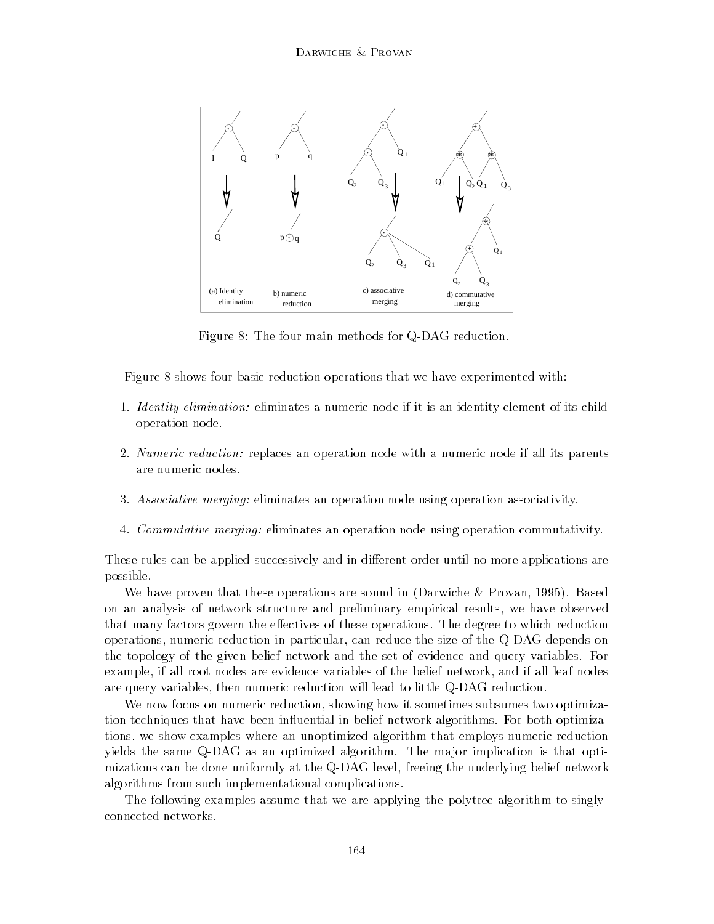

Figure 8: The four main methods for Q-DAG reduction.

Figure 8 shows four basic reduction operations that we have experimented with:

- 1. *Identity elimination:* eliminates a numeric node if it is an identity element of its child operation node.
- 2. Numeric reduction: replaces an operation node with a numeric node if all its parents are numeric nodes.
- 3. Associative merging: eliminates an operation node using operation associativity.
- 4. Commutative merging: eliminates an operation node using operation commutativity.

These rules can be applied successively and in different order until no more applications are possible.

We have proven that these operations are sound in (Darwiche & Provan, 1995). Based on an analysis of network structure and preliminary empirical results, we have observed that many factors govern the effectives of these operations. The degree to which reduction operations, numeric reduction in particular, can reduce the size of the Q-DAG depends on the topology of the given belief network and the set of evidence and query variables. For example, if all root nodes are evidence variables of the belief network, and if all leaf nodes are query variables, then numeric reduction will lead to little Q-DAG reduction.

We now focus on numeric reduction, showing how it sometimes subsumes two optimization techniques that have been influential in belief network algorithms. For both optimizations, we show examples where an unoptimized algorithm that employs numeric reduction yields the same Q-DAG as an optimized algorithm. The major implication is that optimizations can be done uniformly at the Q-DAG level, freeing the underlying belief network algorithms from such implementational complications.

The following examples assume that we are applying the polytree algorithm to singlyconnected networks.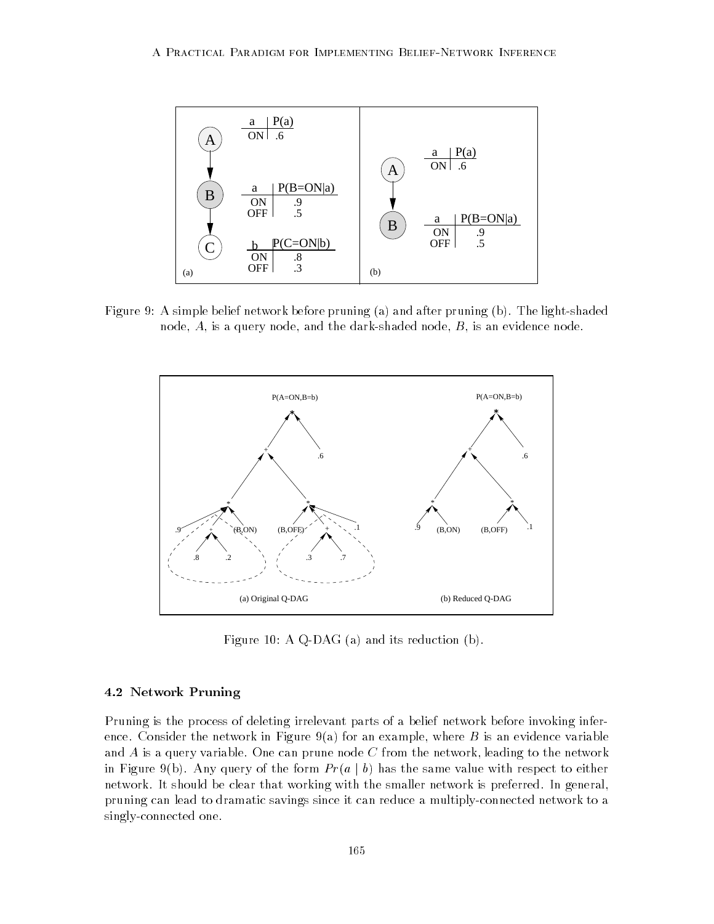

Figure 9: A simple belief network before pruning (a) and after pruning (b). The light-shaded node,  $A$ , is a query node, and the dark-shaded node,  $B$ , is an evidence node.



Figure 10: A Q-DAG (a) and its reduction (b).

## 4.2 Network Pruning

Pruning is the process of deleting irrelevant parts of a belief network before invoking inference. Consider the network in Figure 9(a) for an example, where  $B$  is an evidence variable and  $A$  is a query variable. One can prune node  $C$  from the network, leading to the network in Figure 9(b). Any query of the form  $Pr(a | b)$  has the same value with respect to either network. It should be clear that working with the smaller network is preferred. In general, pruning can lead to dramatic savings since it can reduce a multiply-connected network to a singly-connected one.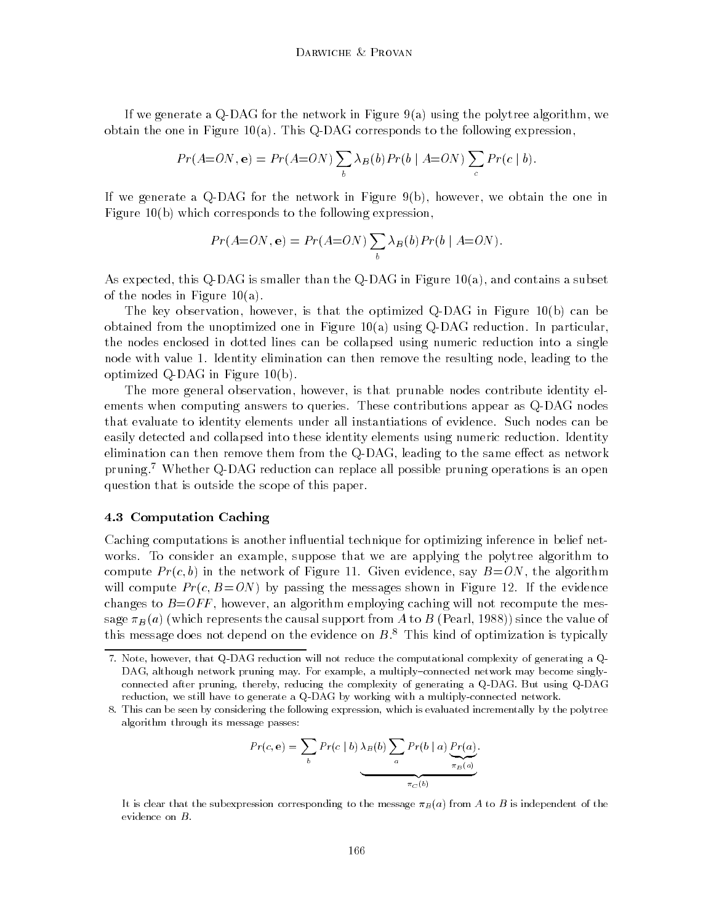If we generate a Q-DAG for the network in Figure 9(a) using the polytree algorithm, we obtain the one in Figure 10(a). This Q-DAG corresponds to the following expression,

$$
Pr(A=ON, \mathbf{e}) = Pr(A=ON) \sum_{b} \lambda_{B}(b) Pr(b \mid A=ON) \sum_{c} Pr(c \mid b).
$$

If we generate a Q-DAG for the network in Figure 9(b), however, we obtain the one in Figure 10(b) which corresponds to the following expression,

$$
Pr(A=ON, e) = Pr(A=ON) \sum_{b} \lambda_{B}(b) Pr(b \mid A=ON).
$$

As expected, this Q-DAG is smaller than the Q-DAG in Figure  $10(a)$ , and contains a subset of the nodes in Figure 10(a).

The key observation, however, is that the optimized Q-DAG in Figure 10(b) can be obtained from the unoptimized one in Figure  $10(a)$  using Q-DAG reduction. In particular, the nodes enclosed in dotted lines can be collapsed using numeric reduction into a single node with value 1. Identity elimination can then remove the resulting node, leading to the optimized Q-DAG in Figure 10(b).

The more general observation, however, is that prunable nodes contribute identity elements when computing answers to queries. These contributions appear as Q-DAG nodes that evaluate to identity elements under all instantiations of evidence. Such nodes can be easily detected and collapsed into these identity elements using numeric reduction. Identity elimination can then remove them from the Q-DAG, leading to the same effect as network pruning.<sup>7</sup> Whether Q-DAG reduction can replace all possible pruning operations is an open question that is outside the scope of this paper.

## 4.3 Computation Caching

Caching computations is another influential technique for optimizing inference in belief networks. To consider an example, suppose that we are applying the polytree algorithm to compute  $Pr(c, b)$  in the network of Figure 11. Given evidence, say  $B=ON$ , the algorithm will compute  $Pr(c, B=ON)$  by passing the messages shown in Figure 12. If the evidence changes to  $B=OF$ , however, an algorithm employing caching will not recompute the message  $\pi_B(a)$  (which represents the causal support from A to B (Pearl, 1988)) since the value of this message does not depend on the evidence on  $B$ <sup>8</sup>. This kind of optimization is typically

$$
Pr(c, e) = \sum_{b} Pr(c | b) \lambda_{B}(b) \sum_{a} Pr(b | a) \underbrace{Pr(a)}_{\pi_{B}(a)}.
$$

It is clear that the subexpression corresponding to the message  $\pi_B(a)$  from A to B is independent of the evidence on B.

<sup>7.</sup> Note, however, that Q-DAG reduction will not reduce the computational complexity of generating a Q-DAG, although network pruning may. For example, a multiply-connected network may become singlyconnected after pruning, thereby, reducing the complexity of generating a Q-DAG. But using Q-DAG reduction, we still have to generate a Q-DAG by working with a multiply-connected network.

<sup>8.</sup> This can be seen by considering the following expression, which is evaluated incrementally by the polytree algorithm through its message passes: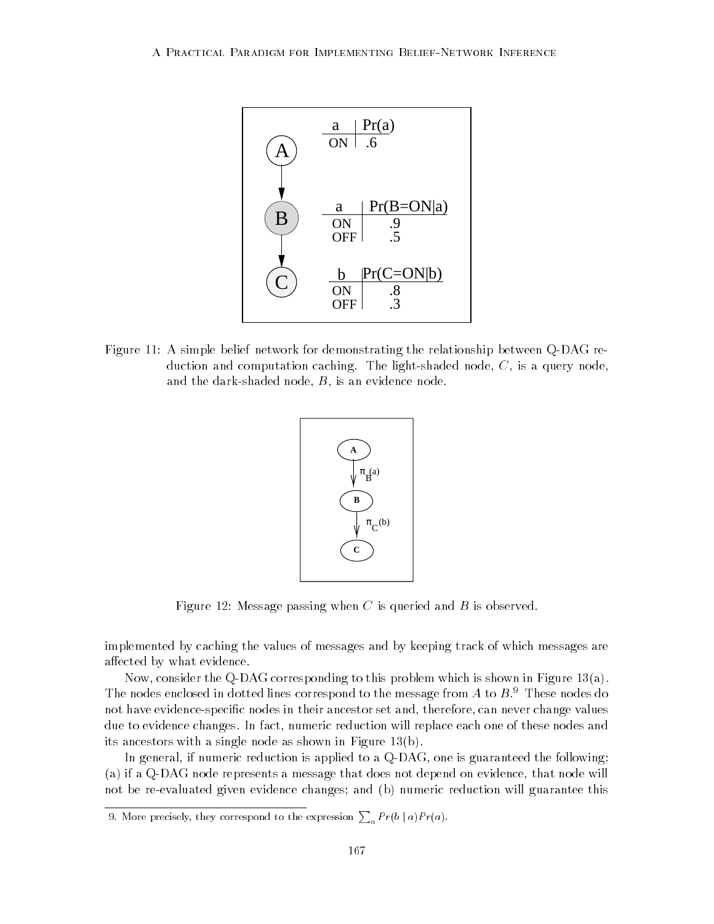

Figure 11: A simple belief network for demonstrating the relationship between Q-DAG reduction and computation caching. The light-shaded node, C, is a query node, and the dark-shaded node, B, is an evidence node.



Figure 12: Message passing when  $C$  is queried and  $B$  is observed.

implemented by caching the values of messages and by keeping track of which messages are affected by what evidence.

Now, consider the Q-DAG corresponding to this problem which is shown in Figure 13(a). The nodes enclosed in dotted lines correspond to the message from  $A$  to  $B$ .<sup>9</sup> These nodes do not have evidence-specific nodes in their ancestor set and, therefore, can never change values due to evidence changes. In fact, numeric reduction will replace each one of these nodes and its ancestors with a single node as shown in Figure 13(b).

In general, if numeric reduction is applied to a Q-DAG, one is guaranteed the following: (a) if a Q-DAG node represents a message that does not depend on evidence, that node will not be re-evaluated given evidence changes; and (b) numeric reduction will guarantee this

<sup>9.</sup> More precisely, they correspond to the expression  $\sum_a Pr(b \mid a) Pr(a)$ .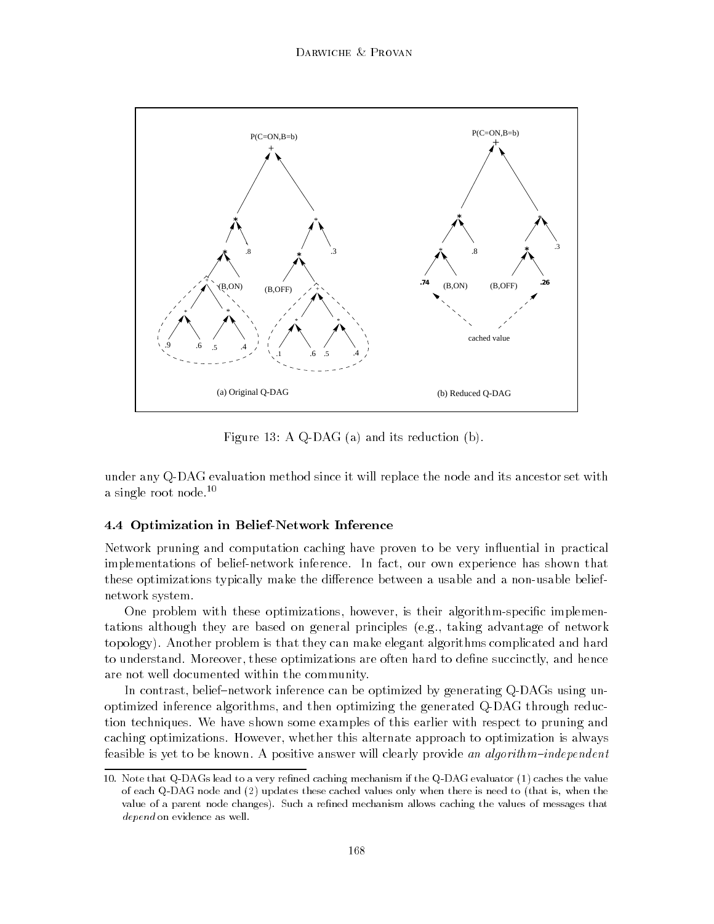

Figure 13: A Q-DAG (a) and its reduction (b).

under any Q-DAG evaluation method since it will replace the node and its ancestor set with a single root node.10

## 4.4 Optimization in Belief-Network Inference

Network pruning and computation caching have proven to be very in
uential in practical implementations of belief-network inference. In fact, our own experience has shown that these optimizations typically make the difference between a usable and a non-usable beliefnetwork system.

One problem with these optimizations, however, is their algorithm-specific implementations although they are based on general principles (e.g., taking advantage of network topology). Another problem is that they can make elegant algorithms complicated and hard to understand. Moreover, these optimizations are often hard to define succinctly, and hence are not well documented within the community.

In contrast, belief–network inference can be optimized by generating Q-DAGs using unoptimized inference algorithms, and then optimizing the generated Q-DAG through reduction techniques. We have shown some examples of this earlier with respect to pruning and caching optimizations. However, whether this alternate approach to optimization is always feasible is yet to be known. A positive answer will clearly provide an algorithm-independent

<sup>10.</sup> Note that Q-DAGs lead to a very refined caching mechanism if the Q-DAG evaluator (1) caches the value of each Q-DAG node and (2) updates these cached values only when there is need to (that is, when the value of a parent node changes). Such a refined mechanism allows caching the values of messages that depend on evidence as well.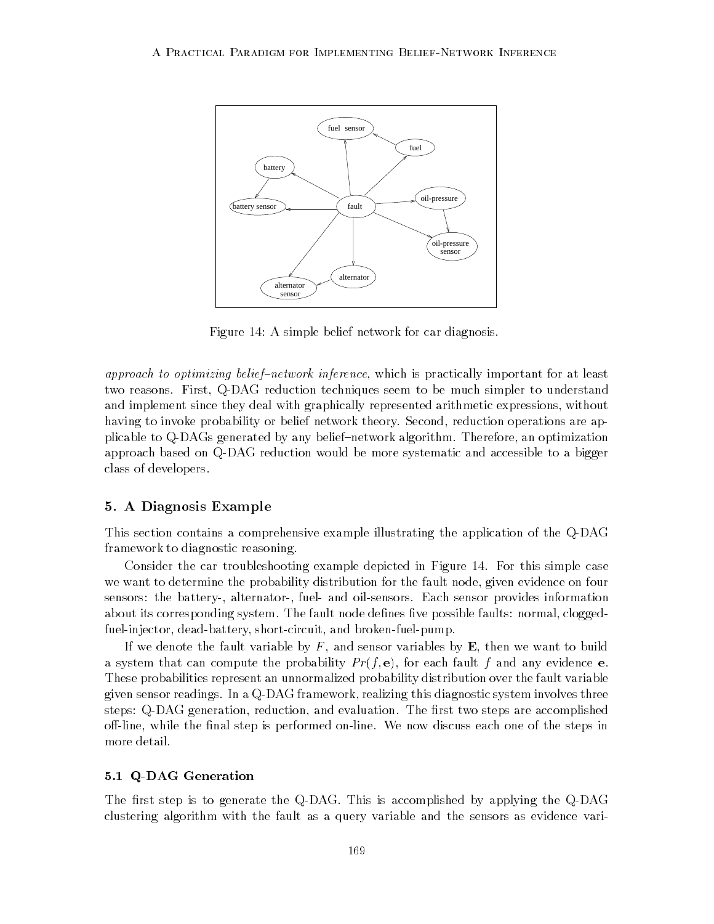

Figure 14: A simple belief network for car diagnosis.

approach to optimizing belief-network inference, which is practically important for at least two reasons. First, Q-DAG reduction techniques seem to be much simpler to understand and implement since they deal with graphically represented arithmetic expressions, without having to invoke probability or belief network theory. Second, reduction operations are applicable to Q-DAGs generated by any belief{network algorithm. Therefore, an optimization approach based on Q-DAG reduction would be more systematic and accessible to a bigger class of developers.

## 5. A Diagnosis Example

This section contains a comprehensive example illustrating the application of the Q-DAG framework to diagnostic reasoning.

Consider the car troubleshooting example depicted in Figure 14. For this simple case we want to determine the probability distribution for the fault node, given evidence on four sensors: the battery-, alternator-, fuel- and oil-sensors. Each sensor provides information about its corresponding system. The fault node defines five possible faults: normal, cloggedfuel-injector, dead-battery, short-circuit, and broken-fuel-pump.

If we denote the fault variable by  $F$ , and sensor variables by  $\bf{E}$ , then we want to build a system that can compute the probability  $Pr(f, e)$ , for each fault f and any evidence e. These probabilities represent an unnormalized probability distribution over the fault variable given sensor readings. In a Q-DAG framework, realizing this diagnostic system involves three steps: Q-DAG generation, reduction, and evaluation. The first two steps are accomplished off-line, while the final step is performed on-line. We now discuss each one of the steps in more detail.

## 5.1 Q-DAG Generation

The first step is to generate the Q-DAG. This is accomplished by applying the Q-DAG clustering algorithm with the fault as a query variable and the sensors as evidence vari-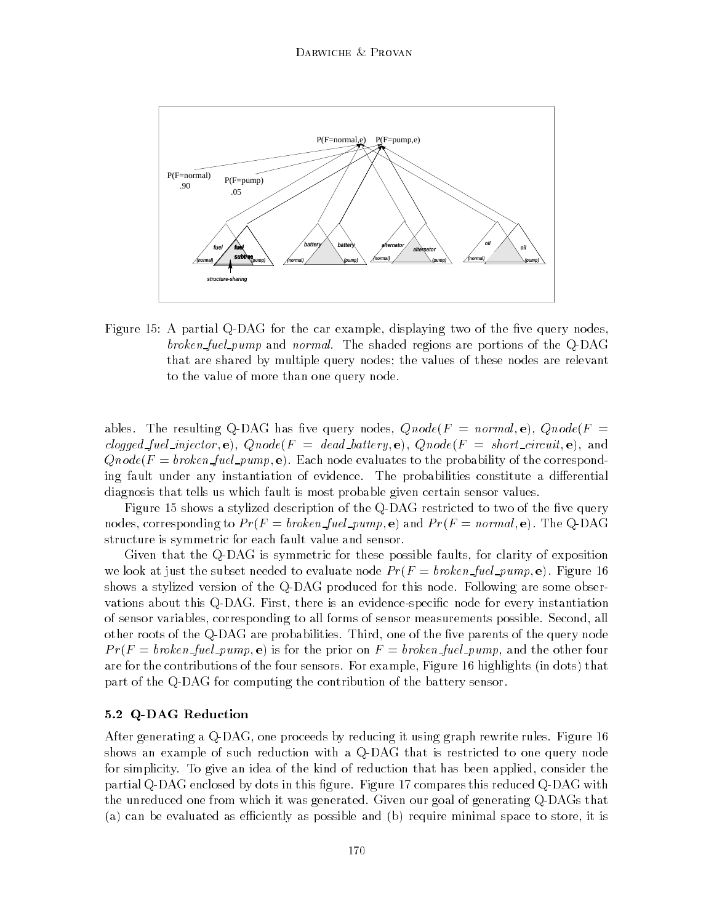

Figure 15: A partial Q-DAG for the car example, displaying two of the five query nodes, broken-fuel pump and normal. The shaded regions are portions of the Q-DAG that are shared by multiple query nodes; the values of these nodes are relevant to the value of more than one query node.

ables. The resulting Q-DAG has five query nodes,  $Qnode(F = normal, e)$ ,  $Qnode(F =$ clogged fuel injector, e),  $Qnode(F = dead_battery, e)$ ,  $Qnode(F = short_circuit, e)$ , and  $Qnode(F = broken\_fuel\_pump, e)$ . Each node evaluates to the probability of the corresponding fault under any instantiation of evidence. The probabilities constitute a differential diagnosis that tells us which fault is most probable given certain sensor values.

Figure 15 shows a stylized description of the Q-DAG restricted to two of the five query nodes, corresponding to  $Pr(F = broken\_fuel\_pump, e)$  and  $Pr(F = normal, e)$ . The Q-DAG structure is symmetric for each fault value and sensor.

Given that the Q-DAG is symmetric for these possible faults, for clarity of exposition we look at just the subset needed to evaluate node  $Pr(F = broken\_fuel\_pump, e)$ . Figure 16 shows a stylized version of the Q-DAG produced for this node. Following are some observations about this Q-DAG. First, there is an evidence-specific node for every instantiation of sensor variables, corresponding to all forms of sensor measurements possible. Second, all other roots of the Q-DAG are probabilities. Third, one of the five parents of the query node  $Pr(F = broken\_fuel\_pump, e)$  is for the prior on  $F = broken\_fuel\_pump$ , and the other four are for the contributions of the four sensors. For example, Figure 16 highlights (in dots) that part of the Q-DAG for computing the contribution of the battery sensor.

### 5.2 Q-DAG Reduction

After generating a Q-DAG, one proceeds by reducing it using graph rewrite rules. Figure 16 shows an example of such reduction with a Q-DAG that is restricted to one query node for simplicity. To give an idea of the kind of reduction that has been applied, consider the partial Q-DAG enclosed by dots in this figure. Figure 17 compares this reduced Q-DAG with the unreduced one from which it was generated. Given our goal of generating Q-DAGs that (a) can be evaluated as efficiently as possible and (b) require minimal space to store, it is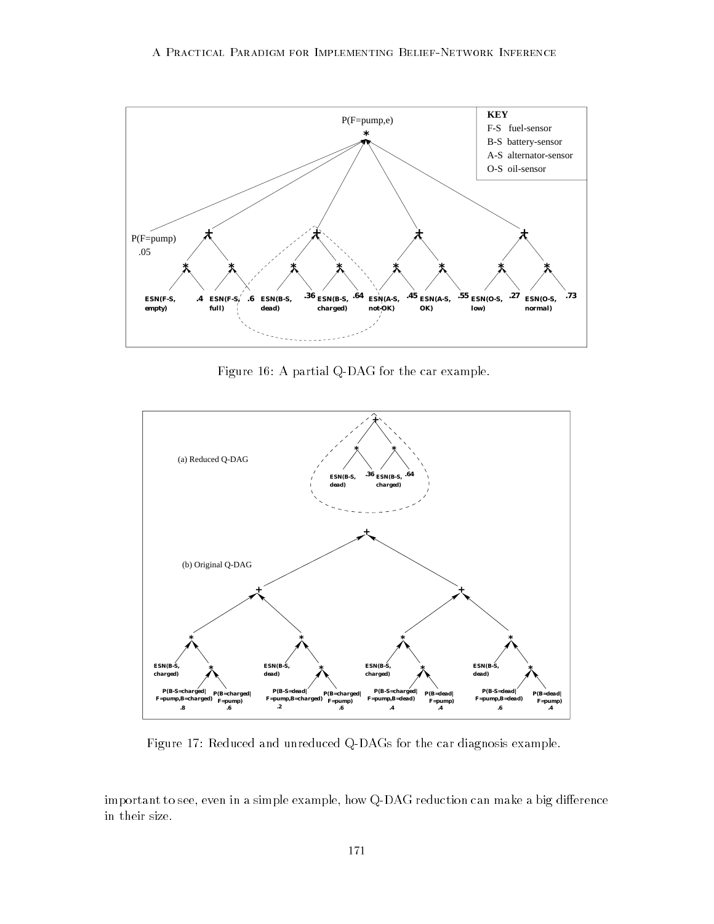

Figure 16: A partial Q-DAG for the car example.



Figure 17: Reduced and unreduced Q-DAGs for the car diagnosis example.

important to see, even in a simple example, how Q-DAG reduction can make a big difference in their size.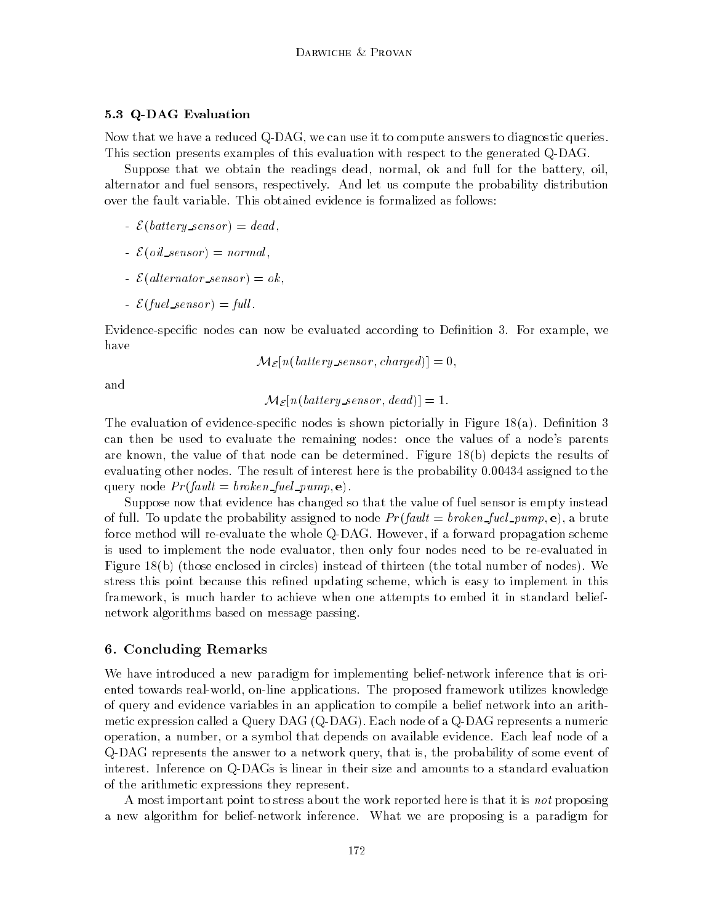## 5.3 Q-DAG Evaluation

Now that we have a reduced Q-DAG, we can use it to compute answers to diagnostic queries. This section presents examples of this evaluation with respect to the generated Q-DAG.

Suppose that we obtain the readings dead, normal, ok and full for the battery, oil, alternator and fuel sensors, respectively. And let us compute the probability distribution over the fault variable. This obtained evidence is formalized as follows:

- $\mathcal{E}(battery\_sensor) = dead,$
- $= \mathcal{E}(oil\_sensor) = normal,$
- $\mathcal{E}(alternator\_sensor) = ok,$
- $\mathcal{E}(\text{fuel\_sensor}) = \text{full}.$

Evidence-specific nodes can now be evaluated according to Definition 3. For example, we have

$$
\mathcal{M}_{\mathcal{E}}[n(\textit{battery\_sensor}, \textit{charged})] = 0,
$$

and

$$
\mathcal{M}_{\mathcal{E}}[n(\text{battery\_sensor}, \text{dead})] = 1.
$$

The evaluation of evidence-specific nodes is shown pictorially in Figure  $18(a)$ . Definition 3 can then be used to evaluate the remaining nodes: once the values of a node's parents are known, the value of that node can be determined. Figure 18(b) depicts the results of evaluating other nodes. The result of interest here is the probability 0.00434 assigned to the query node  $Pr(fault = broken\_fuel\_pump, e)$ .

Suppose now that evidence has changed so that the value of fuel sensor is empty instead of full. To update the probability assigned to node  $Pr(fault = broken\_fuel\_pump, e)$ , a brute force method will re-evaluate the whole Q-DAG. However, if a forward propagation scheme is used to implement the node evaluator, then only four nodes need to be re-evaluated in Figure 18(b) (those enclosed in circles) instead of thirteen (the total number of nodes). We stress this point because this refined updating scheme, which is easy to implement in this framework, is much harder to achieve when one attempts to embed it in standard beliefnetwork algorithms based on message passing.

## 6. Concluding Remarks

We have introduced a new paradigm for implementing belief-network inference that is oriented towards real-world, on-line applications. The proposed framework utilizes knowledge of query and evidence variables in an application to compile a belief network into an arithmetic expression called a Query DAG (Q-DAG). Each node of a Q-DAG represents a numeric operation, a number, or a symbol that depends on available evidence. Each leaf node of a Q-DAG represents the answer to a network query, that is, the probability of some event of interest. Inference on Q-DAGs is linear in their size and amounts to a standard evaluation of the arithmetic expressions they represent.

A most important point to stress about the work reported here is that it is not proposing a new algorithm for belief-network inference. What we are proposing is a paradigm for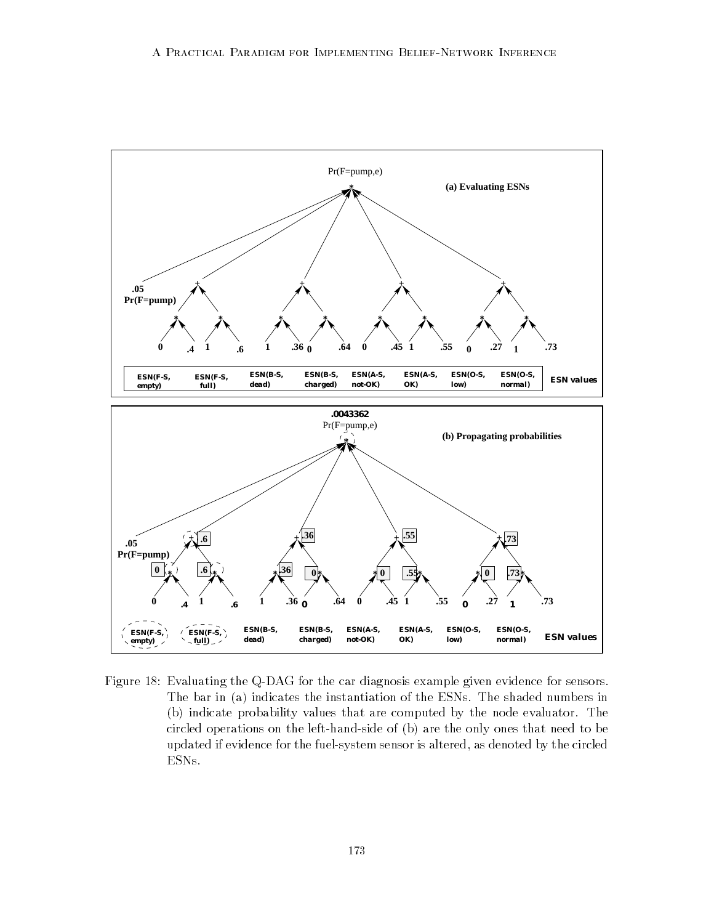

Figure 18: Evaluating the Q-DAG for the car diagnosis example given evidence for sensors. The bar in (a) indicates the instantiation of the ESNs. The shaded numbers in (b) indicate probability values that are computed by the node evaluator. The circled operations on the left-hand-side of (b) are the only ones that need to be updated if evidence for the fuel-system sensor is altered, as denoted by the circled ESNs.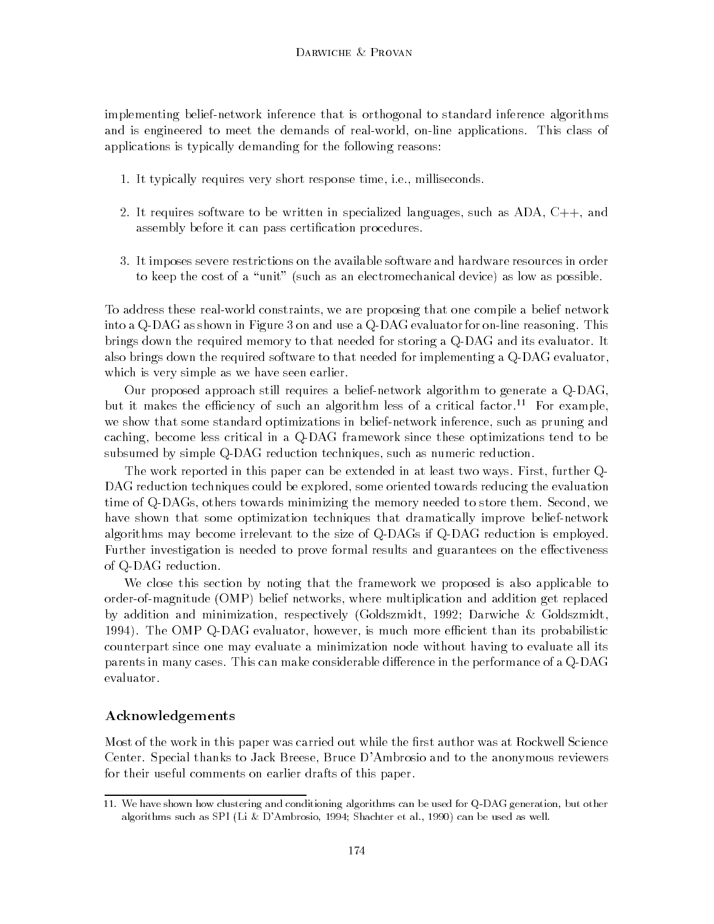implementing belief-network inference that is orthogonal to standard inference algorithms and is engineered to meet the demands of real-world, on-line applications. This class of applications is typically demanding for the following reasons:

- 1. It typically requires very short response time, i.e., milliseconds.
- 2. It requires software to be written in specialized languages, such as ADA, C++, and assembly before it can pass certification procedures.
- 3. It imposes severe restrictions on the available software and hardware resources in order to keep the cost of a "unit" (such as an electromechanical device) as low as possible.

To address these real-world constraints, we are proposing that one compile a belief network into a Q-DAG as shown in Figure 3 on and use a Q-DAG evaluator for on-line reasoning. This brings down the required memory to that needed for storing a Q-DAG and its evaluator. It also brings down the required software to that needed for implementing a Q-DAG evaluator, which is very simple as we have seen earlier.

Our proposed approach still requires a belief-network algorithm to generate a Q-DAG, but it makes the efficiency of such an algorithm less of a critical factor.<sup>11</sup> For example, we show that some standard optimizations in belief-network inference, such as pruning and caching, become less critical in a Q-DAG framework since these optimizations tend to be subsumed by simple Q-DAG reduction techniques, such as numeric reduction.

The work reported in this paper can be extended in at least two ways. First, further Q-DAG reduction techniques could be explored, some oriented towards reducing the evaluation time of Q-DAGs, others towards minimizing the memory needed to store them. Second, we have shown that some optimization techniques that dramatically improve belief-network algorithms may become irrelevant to the size of Q-DAGs if Q-DAG reduction is employed. Further investigation is needed to prove formal results and guarantees on the effectiveness of Q-DAG reduction.

We close this section by noting that the framework we proposed is also applicable to order-of-magnitude (OMP) belief networks, where multiplication and addition get replaced by addition and minimization, respectively (Goldszmidt, 1992; Darwiche & Goldszmidt, 1994). The OMP Q-DAG evaluator, however, is much more efficient than its probabilistic counterpart since one may evaluate a minimization node without having to evaluate all its parents in many cases. This can make considerable difference in the performance of a Q-DAG evaluator.

## Acknowledgements

Most of the work in this paper was carried out while the first author was at Rockwell Science Center. Special thanks to Jack Breese, Bruce D'Ambrosio and to the anonymous reviewers for their useful comments on earlier drafts of this paper.

<sup>11.</sup> We have shown how clustering and conditioning algorithms can be used for Q-DAG generation, but other algorithms such as SPI (Li & D'Ambrosio, 1994; Shachter et al., 1990) can be used as well.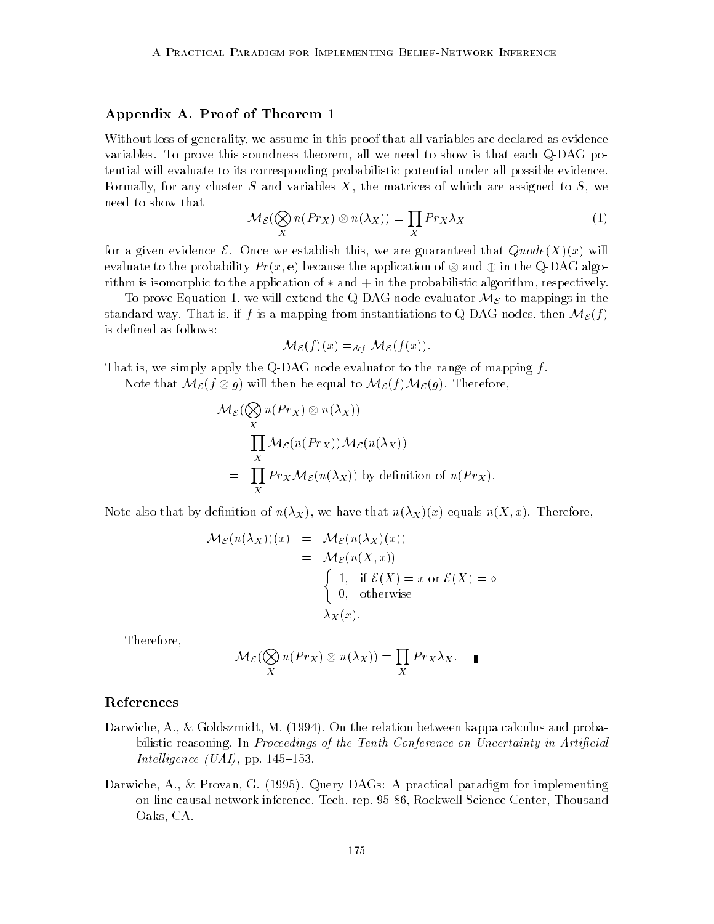## Appendix A. Proof of Theorem 1

Without loss of generality, we assume in this proof that all variables are declared as evidence variables. To prove this soundness theorem, all we need to show is that each Q-DAG potential will evaluate to its corresponding probabilistic potential under all possible evidence. Formally, for any cluster S and variables  $X$ , the matrices of which are assigned to  $S$ , we need to show that

$$
\mathcal{M}_{\mathcal{E}}(\bigotimes_{X} n(Pr_X) \otimes n(\lambda_X)) = \prod_{X} Pr_X \lambda_X \tag{1}
$$

for a given evidence  $\mathcal{E}$ . Once we establish this, we are guaranteed that  $Qnode(X)(x)$  will evaluate to the probability  $Pr(x, \mathbf{e})$  because the application of  $\otimes$  and  $\oplus$  in the Q-DAG algorithm is isomorphic to the application of  $*$  and  $+$  in the probabilistic algorithm, respectively.

To prove Equation 1, we will extend the Q-DAG node evaluator  $\mathcal{M}_{\mathcal{E}}$  to mappings in the standard way. That is, if f is a mapping from instantiations to Q-DAG nodes, then  $\mathcal{M}_{\mathcal{E}}(f)$ is defined as follows:

$$
\mathcal{M}_{\mathcal{E}}(f)(x) =_{def} \mathcal{M}_{\mathcal{E}}(f(x)).
$$

That is, we simply apply the Q-DAG node evaluator to the range of mapping  $f$ .

Note that  $\mathcal{M}_{\mathcal{E}}(f\otimes g)$  will then be equal to  $\mathcal{M}_{\mathcal{E}}(f)\mathcal{M}_{\mathcal{E}}(g)$ . Therefore,

$$
\mathcal{M}_{\mathcal{E}}(\bigotimes_{X} n(Pr_X) \otimes n(\lambda_X))
$$
\n
$$
= \prod_{X} \mathcal{M}_{\mathcal{E}}(n(Pr_X)) \mathcal{M}_{\mathcal{E}}(n(\lambda_X))
$$
\n
$$
= \prod_{X} Pr_X \mathcal{M}_{\mathcal{E}}(n(\lambda_X)) \text{ by definition of } n(Pr_X).
$$

Note also that by definition of  $n(\lambda_X)$ , we have that  $n(\lambda_X)(x)$  equals  $n(X, x)$ . Therefore,

$$
\mathcal{M}_{\mathcal{E}}(n(\lambda_X))(x) = \mathcal{M}_{\mathcal{E}}(n(\lambda_X)(x))
$$
  
=  $\mathcal{M}_{\mathcal{E}}(n(X, x))$   
=  $\begin{cases} 1, & \text{if } \mathcal{E}(X) = x \text{ or } \mathcal{E}(X) = \infty \\ 0, & \text{otherwise} \end{cases}$   
=  $\lambda_X(x)$ .

Therefore,

$$
\mathcal{M}_{\mathcal{E}}(\bigotimes_{X} n(Pr_X) \otimes n(\lambda_X)) = \prod_{X} Pr_X \lambda_X.
$$

## References

- Darwiche, A., & Goldszmidt, M. (1994). On the relation between kappa calculus and probabilistic reasoning. In Proceedings of the Tenth Conference on Uncertainty in Artificial Intelligence (UAI), pp. 145-153.
- Darwiche, A., & Provan, G. (1995). Query DAGs: A practical paradigm for implementing on-line causal-network inference. Tech. rep. 95-86, Rockwell Science Center, Thousand Oaks, CA.